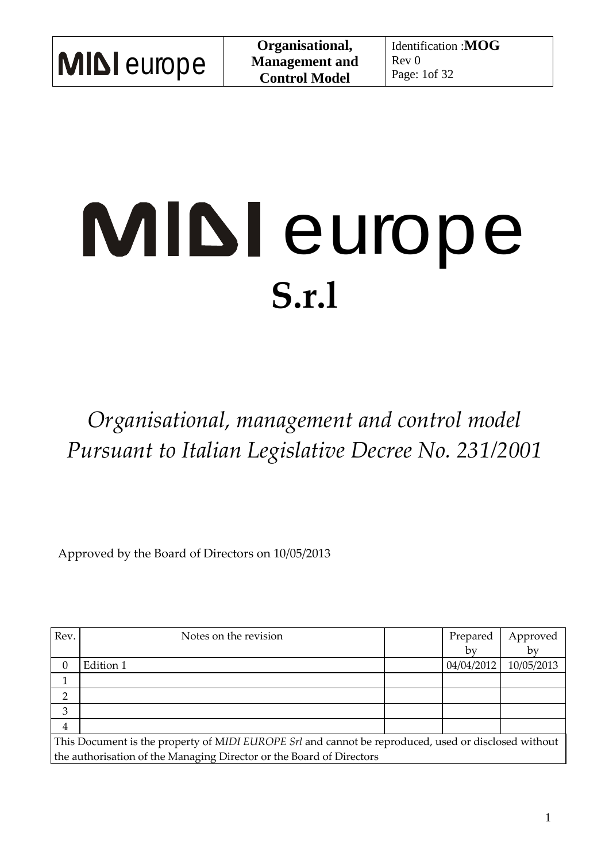# MIDI europe **S.r.l**

*Organisational, management and control model Pursuant to Italian Legislative Decree No. 231/2001*

Approved by the Board of Directors on 10/05/2013

| Rev.                                                                                                 | Notes on the revision |  | Prepared   | Approved   |  |
|------------------------------------------------------------------------------------------------------|-----------------------|--|------------|------------|--|
|                                                                                                      |                       |  | by         | by         |  |
| 0                                                                                                    | Edition 1             |  | 04/04/2012 | 10/05/2013 |  |
|                                                                                                      |                       |  |            |            |  |
|                                                                                                      |                       |  |            |            |  |
| 3                                                                                                    |                       |  |            |            |  |
| $\overline{4}$                                                                                       |                       |  |            |            |  |
| This Document is the property of MIDI EUROPE Srl and cannot be reproduced, used or disclosed without |                       |  |            |            |  |
| the authorisation of the Managing Director or the Board of Directors                                 |                       |  |            |            |  |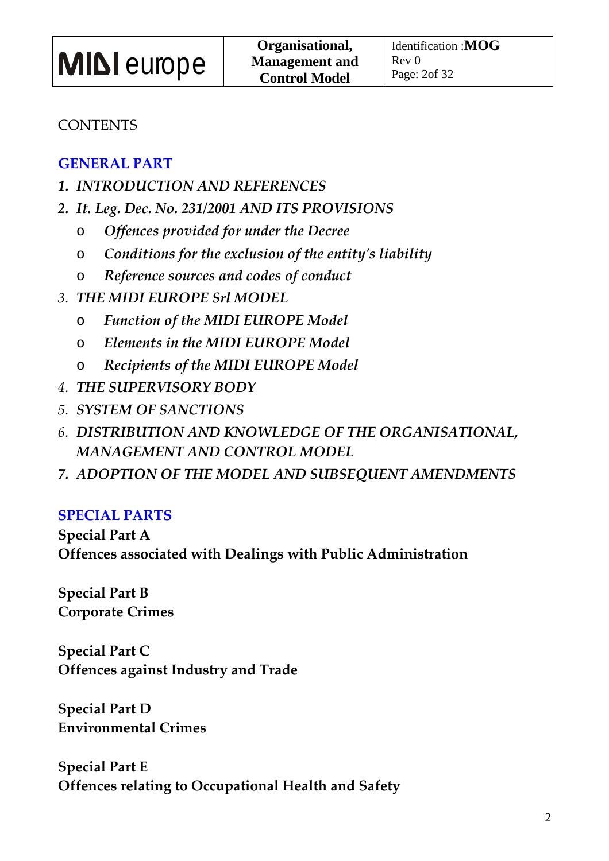### **CONTENTS**

### **GENERAL PART**

- *1. INTRODUCTION AND REFERENCES*
- *2. It. Leg. Dec. No. 231/2001 AND ITS PROVISIONS* 
	- o *Offences provided for under the Decree*
	- o *Conditions for the exclusion of the entity's liability*
	- o *Reference sources and codes of conduct*
- *3. THE MIDI EUROPE Srl MODEL*
	- o *Function of the MIDI EUROPE Model*
	- o *Elements in the MIDI EUROPE Model*
	- o *Recipients of the MIDI EUROPE Model*
- *4. THE SUPERVISORY BODY*
- *5. SYSTEM OF SANCTIONS*
- *6. DISTRIBUTION AND KNOWLEDGE OF THE ORGANISATIONAL, MANAGEMENT AND CONTROL MODEL*
- *7. ADOPTION OF THE MODEL AND SUBSEQUENT AMENDMENTS*

### **SPECIAL PARTS**

**Special Part A Offences associated with Dealings with Public Administration**

**Special Part B Corporate Crimes** 

**Special Part C Offences against Industry and Trade** 

**Special Part D Environmental Crimes** 

**Special Part E Offences relating to Occupational Health and Safety**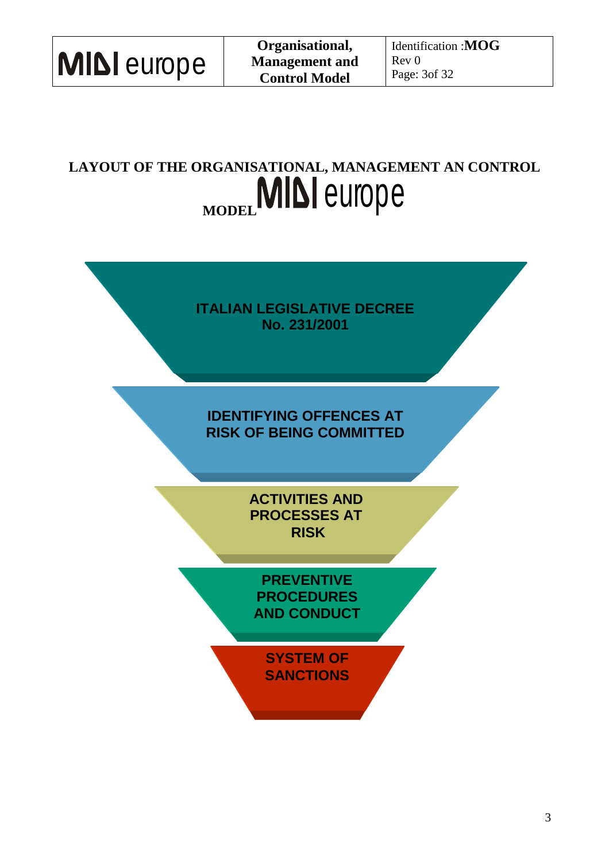| <b>MIDI</b> europe |  |
|--------------------|--|
|--------------------|--|

### **LAYOUT OF THE ORGANISATIONAL, MANAGEMENT AN CONTROL MIDI** europe

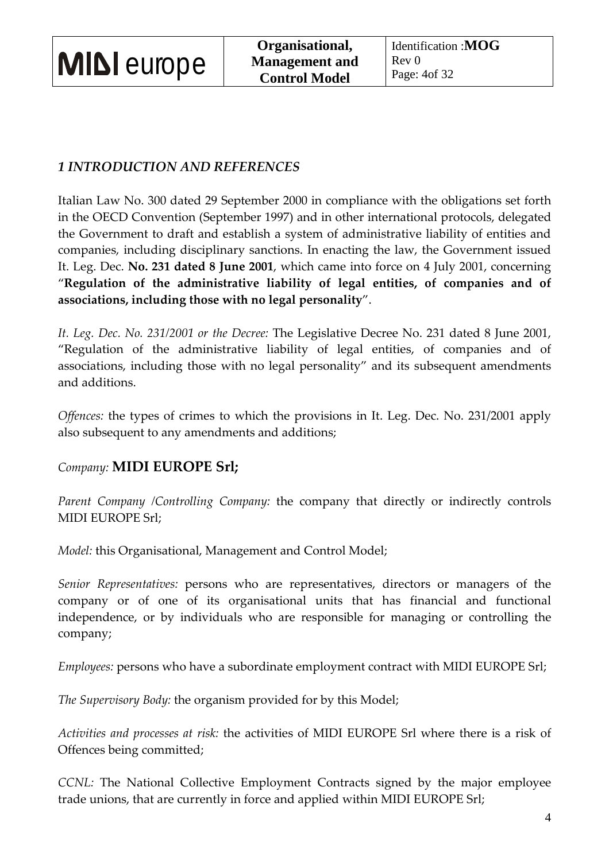|  | <b>MIDI</b> europe |
|--|--------------------|
|--|--------------------|

### *1 INTRODUCTION AND REFERENCES*

Italian Law No. 300 dated 29 September 2000 in compliance with the obligations set forth in the OECD Convention (September 1997) and in other international protocols, delegated the Government to draft and establish a system of administrative liability of entities and companies, including disciplinary sanctions. In enacting the law, the Government issued It. Leg. Dec. **No. 231 dated 8 June 2001**, which came into force on 4 July 2001, concerning "**Regulation of the administrative liability of legal entities, of companies and of associations, including those with no legal personality**".

*It. Leg. Dec. No. 231/2001 or the Decree:* The Legislative Decree No. 231 dated 8 June 2001, "Regulation of the administrative liability of legal entities, of companies and of associations, including those with no legal personality" and its subsequent amendments and additions.

*Offences:* the types of crimes to which the provisions in It. Leg. Dec. No. 231/2001 apply also subsequent to any amendments and additions;

### *Company:* **MIDI EUROPE Srl;**

*Parent Company /Controlling Company:* the company that directly or indirectly controls MIDI EUROPE Srl;

*Model:* this Organisational, Management and Control Model;

*Senior Representatives:* persons who are representatives, directors or managers of the company or of one of its organisational units that has financial and functional independence, or by individuals who are responsible for managing or controlling the company;

*Employees:* persons who have a subordinate employment contract with MIDI EUROPE Srl;

*The Supervisory Body:* the organism provided for by this Model;

*Activities and processes at risk:* the activities of MIDI EUROPE Srl where there is a risk of Offences being committed;

*CCNL:* The National Collective Employment Contracts signed by the major employee trade unions, that are currently in force and applied within MIDI EUROPE Srl;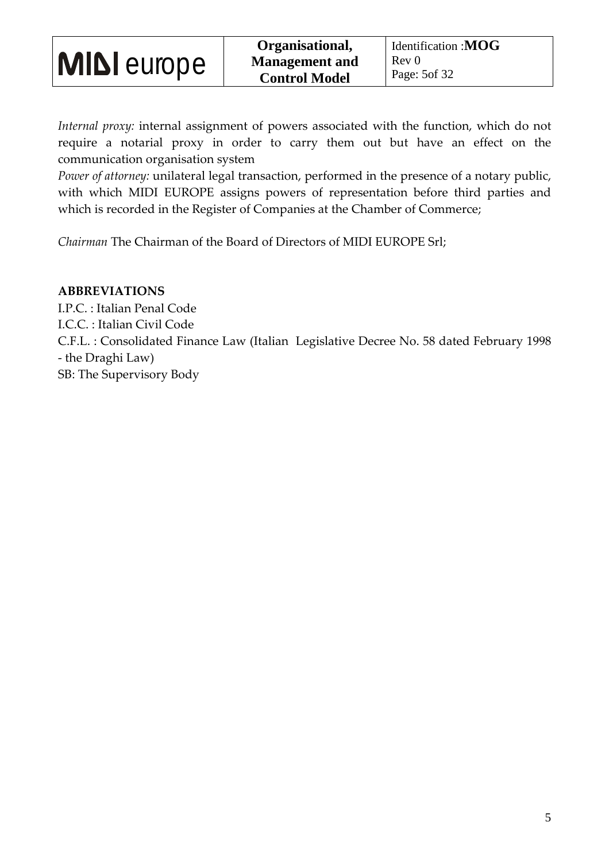*Internal proxy:* internal assignment of powers associated with the function, which do not require a notarial proxy in order to carry them out but have an effect on the communication organisation system

*Power of attorney:* unilateral legal transaction, performed in the presence of a notary public, with which MIDI EUROPE assigns powers of representation before third parties and which is recorded in the Register of Companies at the Chamber of Commerce;

*Chairman* The Chairman of the Board of Directors of MIDI EUROPE Srl;

#### **ABBREVIATIONS**

I.P.C. : Italian Penal Code I.C.C. : Italian Civil Code C.F.L. : Consolidated Finance Law (Italian Legislative Decree No. 58 dated February 1998 - the Draghi Law) SB: The Supervisory Body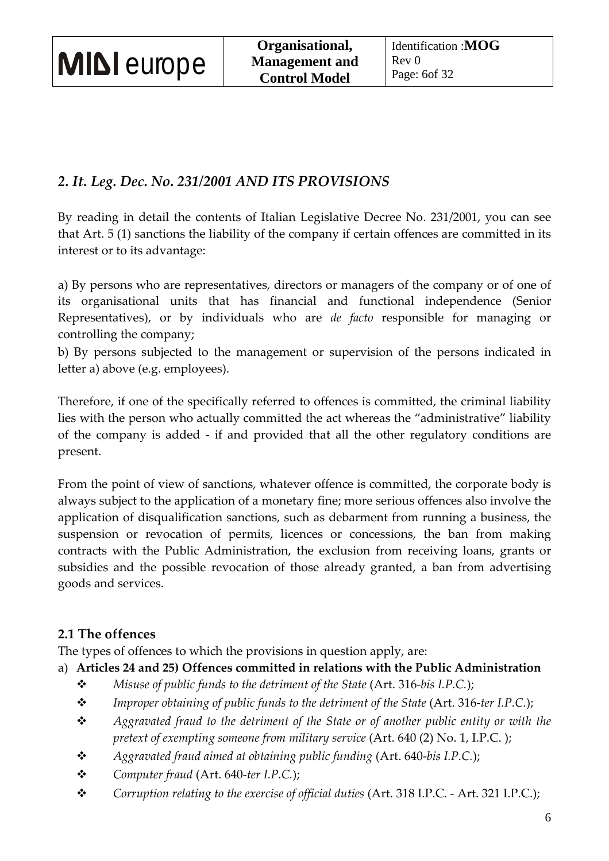### *2. It. Leg. Dec. No. 231/2001 AND ITS PROVISIONS*

By reading in detail the contents of Italian Legislative Decree No. 231/2001, you can see that Art. 5 (1) sanctions the liability of the company if certain offences are committed in its interest or to its advantage:

a) By persons who are representatives, directors or managers of the company or of one of its organisational units that has financial and functional independence (Senior Representatives), or by individuals who are *de facto* responsible for managing or controlling the company;

b) By persons subjected to the management or supervision of the persons indicated in letter a) above (e.g. employees).

Therefore, if one of the specifically referred to offences is committed, the criminal liability lies with the person who actually committed the act whereas the "administrative" liability of the company is added - if and provided that all the other regulatory conditions are present.

From the point of view of sanctions, whatever offence is committed, the corporate body is always subject to the application of a monetary fine; more serious offences also involve the application of disqualification sanctions, such as debarment from running a business, the suspension or revocation of permits, licences or concessions, the ban from making contracts with the Public Administration, the exclusion from receiving loans, grants or subsidies and the possible revocation of those already granted, a ban from advertising goods and services.

### **2.1 The offences**

The types of offences to which the provisions in question apply, are:

- a) **Articles 24 and 25) Offences committed in relations with the Public Administration**
	- *Misuse of public funds to the detriment of the State* (Art. 316-*bis I.P.C.*);
	- **\*** Improper obtaining of public funds to the detriment of the State (Art. 316-ter I.P.C.);
	- *Aggravated fraud to the detriment of the State or of another public entity or with the pretext of exempting someone from military service* (Art. 640 (2) No. 1, I.P.C. );
	- *Aggravated fraud aimed at obtaining public funding* (Art. 640-*bis I.P.C.*);
	- *Computer fraud* (Art. 640-*ter I.P.C.*);
	- *Corruption relating to the exercise of official duties* (Art. 318 I.P.C. Art. 321 I.P.C.);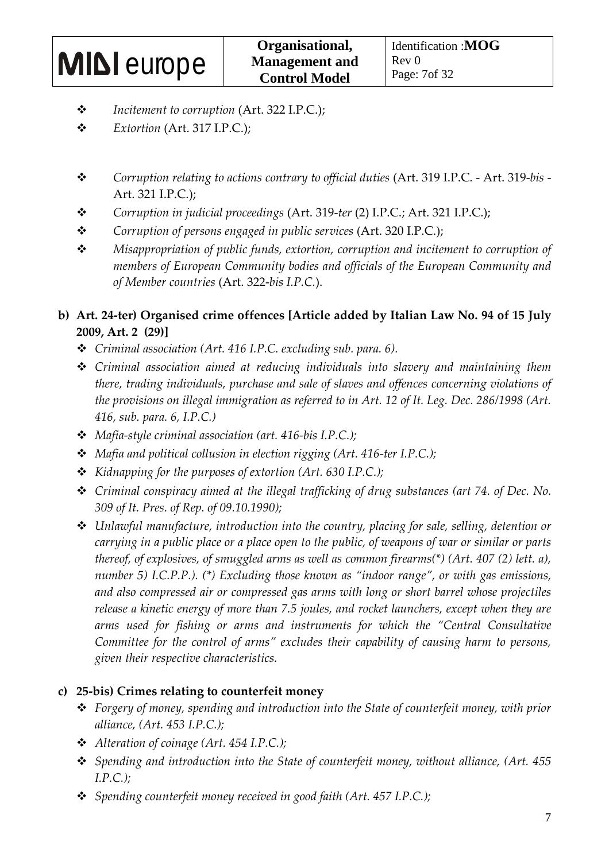- *Incitement to corruption* (Art. 322 I.P.C.);
- *Extortion* (Art. 317 I.P.C.);
- *Corruption relating to actions contrary to official duties* (Art. 319 I.P.C. Art. 319-*bis*  Art. 321 I.P.C.);
- *Corruption in judicial proceedings* (Art. 319-*ter* (2) I.P.C.; Art. 321 I.P.C.);
- *Corruption of persons engaged in public services* (Art. 320 I.P.C.);
- *Misappropriation of public funds, extortion, corruption and incitement to corruption of members of European Community bodies and officials of the European Community and of Member countries* (Art. 322-*bis I.P.C.*).

### **b) Art. 24-ter) Organised crime offences [Article added by Italian Law No. 94 of 15 July 2009, Art. 2 (29)]**

- *Criminal association (Art. 416 I.P.C. excluding sub. para. 6).*
- *Criminal association aimed at reducing individuals into slavery and maintaining them there, trading individuals, purchase and sale of slaves and offences concerning violations of the provisions on illegal immigration as referred to in Art. 12 of It. Leg. Dec. 286/1998 (Art. 416, sub. para. 6, I.P.C.)*
- *Mafia-style criminal association (art. 416-bis I.P.C.);*
- *Mafia and political collusion in election rigging (Art. 416-ter I.P.C.);*
- *Kidnapping for the purposes of extortion (Art. 630 I.P.C.);*
- *Criminal conspiracy aimed at the illegal trafficking of drug substances (art 74. of Dec. No. 309 of It. Pres. of Rep. of 09.10.1990);*
- *Unlawful manufacture, introduction into the country, placing for sale, selling, detention or carrying in a public place or a place open to the public, of weapons of war or similar or parts thereof, of explosives, of smuggled arms as well as common firearms(\*) (Art. 407 (2) lett. a), number 5) I.C.P.P.). (\*) Excluding those known as "indoor range", or with gas emissions, and also compressed air or compressed gas arms with long or short barrel whose projectiles release a kinetic energy of more than 7.5 joules, and rocket launchers, except when they are arms used for fishing or arms and instruments for which the "Central Consultative Committee for the control of arms" excludes their capability of causing harm to persons, given their respective characteristics.*

### **c) 25-bis) Crimes relating to counterfeit money**

- *Forgery of money, spending and introduction into the State of counterfeit money, with prior alliance, (Art. 453 I.P.C.);*
- *Alteration of coinage (Art. 454 I.P.C.);*
- *Spending and introduction into the State of counterfeit money, without alliance, (Art. 455 I.P.C.);*
- *Spending counterfeit money received in good faith (Art. 457 I.P.C.);*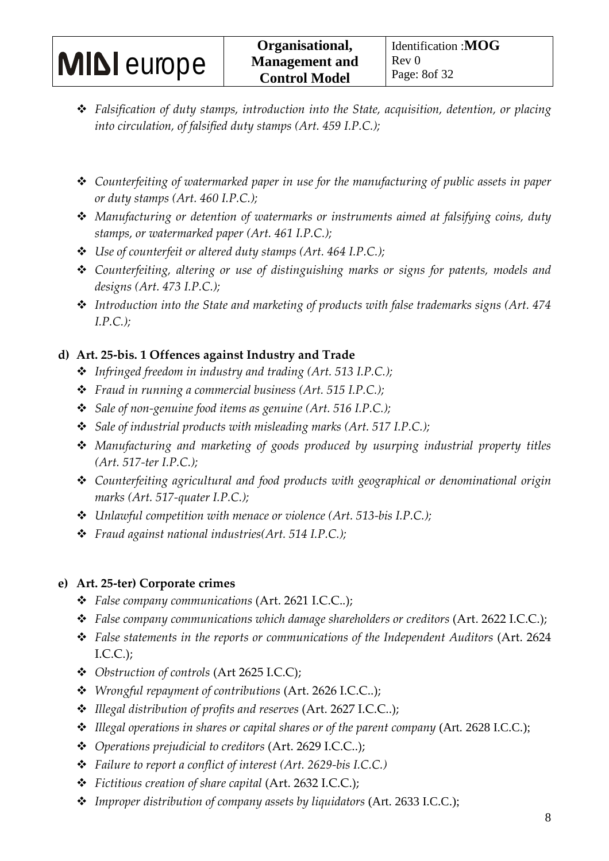- *Falsification of duty stamps, introduction into the State, acquisition, detention, or placing into circulation, of falsified duty stamps (Art. 459 I.P.C.);*
- *Counterfeiting of watermarked paper in use for the manufacturing of public assets in paper or duty stamps (Art. 460 I.P.C.);*
- *Manufacturing or detention of watermarks or instruments aimed at falsifying coins, duty stamps, or watermarked paper (Art. 461 I.P.C.);*
- *Use of counterfeit or altered duty stamps (Art. 464 I.P.C.);*
- *Counterfeiting, altering or use of distinguishing marks or signs for patents, models and designs (Art. 473 I.P.C.);*
- *Introduction into the State and marketing of products with false trademarks signs (Art. 474 I.P.C.);*

### **d) Art. 25-bis. 1 Offences against Industry and Trade**

- *Infringed freedom in industry and trading (Art. 513 I.P.C.);*
- *Fraud in running a commercial business (Art. 515 I.P.C.);*
- *Sale of non-genuine food items as genuine (Art. 516 I.P.C.);*
- *Sale of industrial products with misleading marks (Art. 517 I.P.C.);*
- *Manufacturing and marketing of goods produced by usurping industrial property titles (Art. 517-ter I.P.C.);*
- *Counterfeiting agricultural and food products with geographical or denominational origin marks (Art. 517-quater I.P.C.);*
- *Unlawful competition with menace or violence (Art. 513-bis I.P.C.);*
- *Fraud against national industries(Art. 514 I.P.C.);*

### **e) Art. 25-ter) Corporate crimes**

- *False company communications* (Art. 2621 I.C.C..);
- *False company communications which damage shareholders or creditors* (Art. 2622 I.C.C.);
- \* False statements in the reports or communications of the Independent Auditors (Art. 2624) I.C.C.);
- *Obstruction of controls* (Art 2625 I.C.C);
- *Wrongful repayment of contributions* (Art. 2626 I.C.C..);
- *Illegal distribution of profits and reserves* (Art. 2627 I.C.C..);
- *Illegal operations in shares or capital shares or of the parent company* (Art. 2628 I.C.C.);
- *Operations prejudicial to creditors* (Art. 2629 I.C.C..);
- *Failure to report a conflict of interest (Art. 2629-bis I.C.C.)*
- *Fictitious creation of share capital* (Art. 2632 I.C.C.);
- *Improper distribution of company assets by liquidators* (Art. 2633 I.C.C.);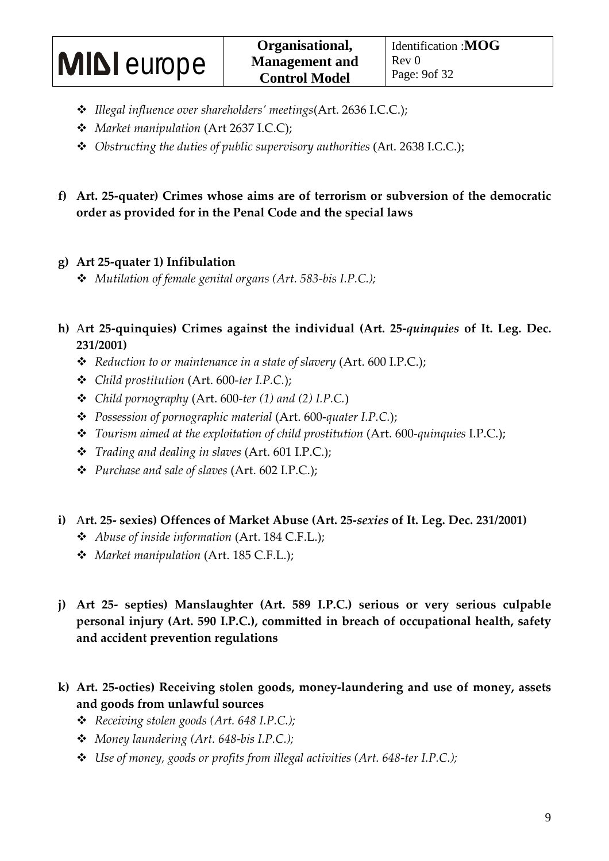- *Illegal influence over shareholders' meetings*(Art. 2636 I.C.C.);
- *Market manipulation* (Art 2637 I.C.C);
- *Obstructing the duties of public supervisory authorities* (Art. 2638 I.C.C.);
- **f) Art. 25-quater) Crimes whose aims are of terrorism or subversion of the democratic order as provided for in the Penal Code and the special laws**

### **g) Art 25-quater 1) Infibulation**

- *Mutilation of female genital organs (Art. 583-bis I.P.C.);*
- **h)** A**rt 25-quinquies) Crimes against the individual (Art. 25-***quinquies* **of It. Leg. Dec. 231/2001)** 
	- *Reduction to or maintenance in a state of slavery* (Art. 600 I.P.C.);
	- *Child prostitution* (Art. 600-*ter I.P.C.*);
	- *Child pornography* (Art. 600-*ter (1) and (2) I.P.C.*)
	- *Possession of pornographic material* (Art. 600-*quater I.P.C.*);
	- *Tourism aimed at the exploitation of child prostitution* (Art. 600-*quinquies* I.P.C.);
	- *Trading and dealing in slaves* (Art. 601 I.P.C.);
	- *Purchase and sale of slaves* (Art. 602 I.P.C.);
- **i)** A**rt. 25- sexies) Offences of Market Abuse (Art. 25-***sexies* **of It. Leg. Dec. 231/2001)** 
	- *Abuse of inside information* (Art. 184 C.F.L.);
	- *Market manipulation* (Art. 185 C.F.L.);
- **j) Art 25- septies) Manslaughter (Art. 589 I.P.C.) serious or very serious culpable personal injury (Art. 590 I.P.C.), committed in breach of occupational health, safety and accident prevention regulations**
- **k) Art. 25-octies) Receiving stolen goods, money-laundering and use of money, assets and goods from unlawful sources** 
	- *Receiving stolen goods (Art. 648 I.P.C.);*
	- *Money laundering (Art. 648-bis I.P.C.);*
	- *Use of money, goods or profits from illegal activities (Art. 648-ter I.P.C.);*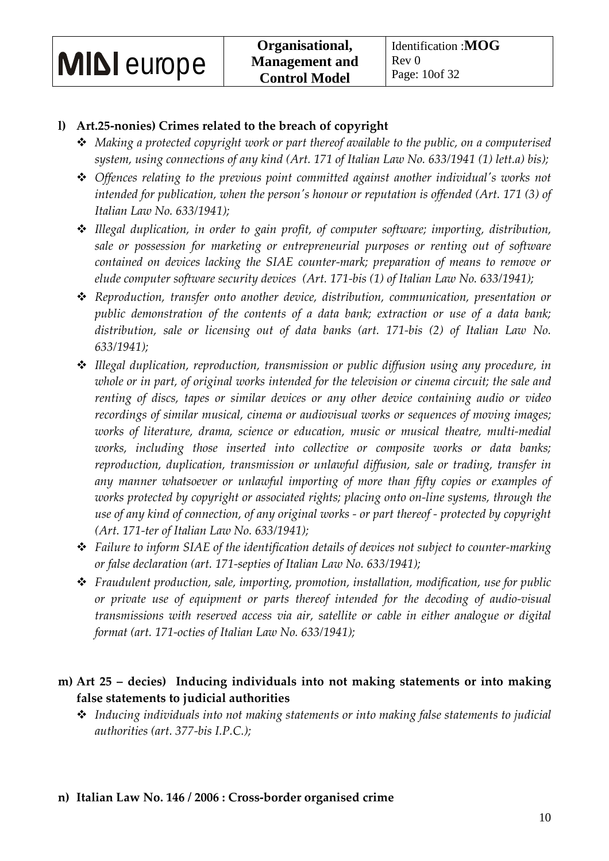### **l) Art.25-nonies) Crimes related to the breach of copyright**

- *Making a protected copyright work or part thereof available to the public, on a computerised system, using connections of any kind (Art. 171 of Italian Law No. 633/1941 (1) lett.a) bis);*
- *Offences relating to the previous point committed against another individual's works not intended for publication, when the person's honour or reputation is offended (Art. 171 (3) of Italian Law No. 633/1941);*
- *Illegal duplication, in order to gain profit, of computer software; importing, distribution, sale or possession for marketing or entrepreneurial purposes or renting out of software contained on devices lacking the SIAE counter-mark; preparation of means to remove or elude computer software security devices (Art. 171-bis (1) of Italian Law No. 633/1941);*
- *Reproduction, transfer onto another device, distribution, communication, presentation or public demonstration of the contents of a data bank; extraction or use of a data bank; distribution, sale or licensing out of data banks (art. 171-bis (2) of Italian Law No. 633/1941);*
- *Illegal duplication, reproduction, transmission or public diffusion using any procedure, in whole or in part, of original works intended for the television or cinema circuit; the sale and renting of discs, tapes or similar devices or any other device containing audio or video recordings of similar musical, cinema or audiovisual works or sequences of moving images; works of literature, drama, science or education, music or musical theatre, multi-medial works, including those inserted into collective or composite works or data banks; reproduction, duplication, transmission or unlawful diffusion, sale or trading, transfer in any manner whatsoever or unlawful importing of more than fifty copies or examples of works protected by copyright or associated rights; placing onto on-line systems, through the use of any kind of connection, of any original works - or part thereof - protected by copyright (Art. 171-ter of Italian Law No. 633/1941);*
- *Failure to inform SIAE of the identification details of devices not subject to counter-marking or false declaration (art. 171-septies of Italian Law No. 633/1941);*
- *Fraudulent production, sale, importing, promotion, installation, modification, use for public or private use of equipment or parts thereof intended for the decoding of audio-visual transmissions with reserved access via air, satellite or cable in either analogue or digital format (art. 171-octies of Italian Law No. 633/1941);*

### **m) Art 25 – decies) Inducing individuals into not making statements or into making false statements to judicial authorities**

 *Inducing individuals into not making statements or into making false statements to judicial authorities (art. 377-bis I.P.C.);*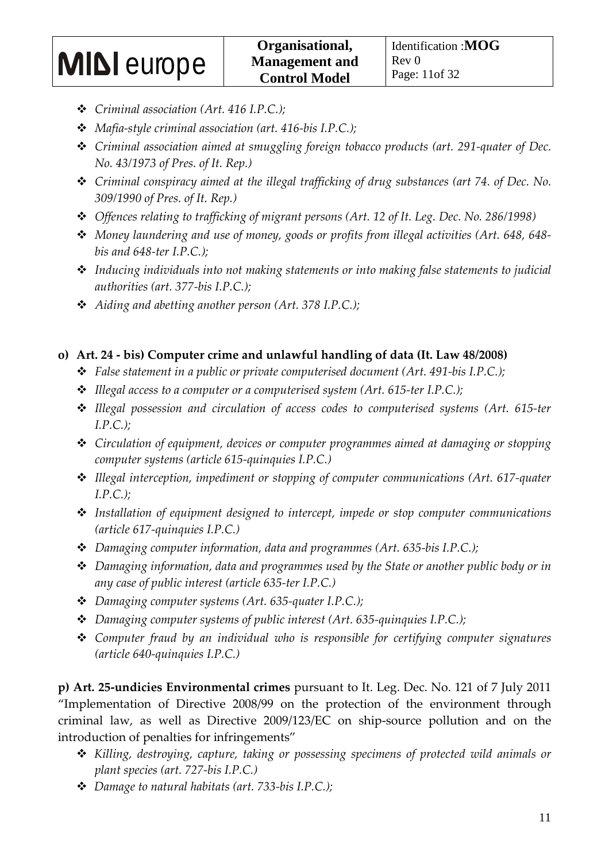- *Criminal association (Art. 416 I.P.C.);*
- *Mafia-style criminal association (art. 416-bis I.P.C.);*
- *Criminal association aimed at smuggling foreign tobacco products (art. 291-quater of Dec. No. 43/1973 of Pres. of It. Rep.)*
- *Criminal conspiracy aimed at the illegal trafficking of drug substances (art 74. of Dec. No. 309/1990 of Pres. of It. Rep.)*
- *Offences relating to trafficking of migrant persons (Art. 12 of It. Leg. Dec. No. 286/1998)*
- *Money laundering and use of money, goods or profits from illegal activities (Art. 648, 648 bis and 648-ter I.P.C.);*
- *Inducing individuals into not making statements or into making false statements to judicial authorities (art. 377-bis I.P.C.);*
- *Aiding and abetting another person (Art. 378 I.P.C.);*

### **o) Art. 24 - bis) Computer crime and unlawful handling of data (It. Law 48/2008)**

- *False statement in a public or private computerised document (Art. 491-bis I.P.C.);*
- *Illegal access to a computer or a computerised system (Art. 615-ter I.P.C.);*
- *Illegal possession and circulation of access codes to computerised systems (Art. 615-ter I.P.C.);*
- *Circulation of equipment, devices or computer programmes aimed at damaging or stopping computer systems (article 615-quinquies I.P.C.)*
- *Illegal interception, impediment or stopping of computer communications (Art. 617-quater I.P.C.);*
- *Installation of equipment designed to intercept, impede or stop computer communications (article 617-quinquies I.P.C.)*
- *Damaging computer information, data and programmes (Art. 635-bis I.P.C.);*
- *Damaging information, data and programmes used by the State or another public body or in any case of public interest (article 635-ter I.P.C.)*
- *Damaging computer systems (Art. 635-quater I.P.C.);*
- *Damaging computer systems of public interest (Art. 635-quinquies I.P.C.);*
- *Computer fraud by an individual who is responsible for certifying computer signatures (article 640-quinquies I.P.C.)*

**p) Art. 25-undicies Environmental crimes** pursuant to It. Leg. Dec. No. 121 of 7 July 2011 "Implementation of Directive 2008/99 on the protection of the environment through criminal law, as well as Directive 2009/123/EC on ship-source pollution and on the introduction of penalties for infringements"

- *Killing, destroying, capture, taking or possessing specimens of protected wild animals or plant species (art. 727-bis I.P.C.)*
- *Damage to natural habitats (art. 733-bis I.P.C.);*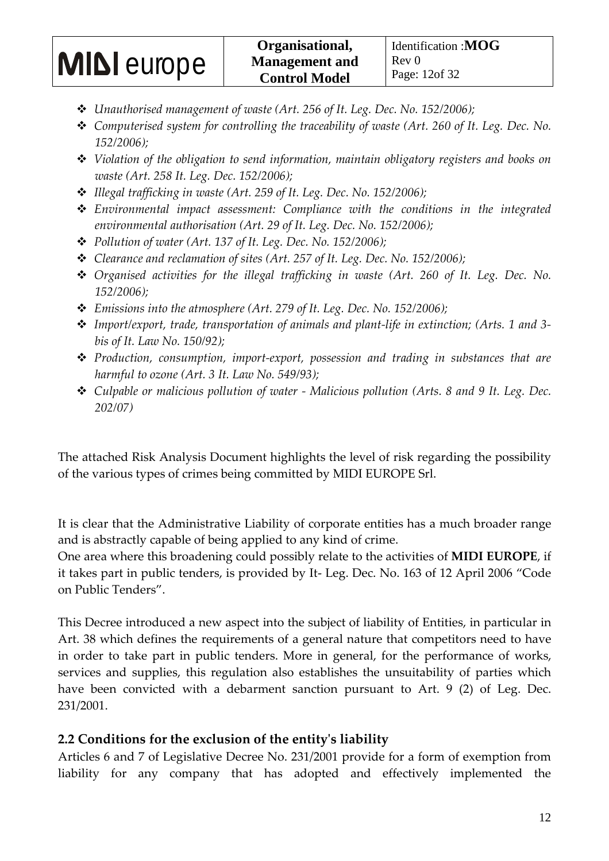- *Unauthorised management of waste (Art. 256 of It. Leg. Dec. No. 152/2006);*
- *Computerised system for controlling the traceability of waste (Art. 260 of It. Leg. Dec. No. 152/2006);*
- *Violation of the obligation to send information, maintain obligatory registers and books on waste (Art. 258 It. Leg. Dec. 152/2006);*
- *Illegal trafficking in waste (Art. 259 of It. Leg. Dec. No. 152/2006);*
- *Environmental impact assessment: Compliance with the conditions in the integrated environmental authorisation (Art. 29 of It. Leg. Dec. No. 152/2006);*
- *Pollution of water (Art. 137 of It. Leg. Dec. No. 152/2006);*
- *Clearance and reclamation of sites (Art. 257 of It. Leg. Dec. No. 152/2006);*
- *Organised activities for the illegal trafficking in waste (Art. 260 of It. Leg. Dec. No. 152/2006);*
- *Emissions into the atmosphere (Art. 279 of It. Leg. Dec. No. 152/2006);*
- *Import/export, trade, transportation of animals and plant-life in extinction; (Arts. 1 and 3 bis of It. Law No. 150/92);*
- *Production, consumption, import-export, possession and trading in substances that are harmful to ozone (Art. 3 It. Law No. 549/93);*
- *Culpable or malicious pollution of water Malicious pollution (Arts. 8 and 9 It. Leg. Dec. 202/07)*

The attached Risk Analysis Document highlights the level of risk regarding the possibility of the various types of crimes being committed by MIDI EUROPE Srl.

It is clear that the Administrative Liability of corporate entities has a much broader range and is abstractly capable of being applied to any kind of crime.

One area where this broadening could possibly relate to the activities of **MIDI EUROPE**, if it takes part in public tenders, is provided by It- Leg. Dec. No. 163 of 12 April 2006 "Code on Public Tenders".

This Decree introduced a new aspect into the subject of liability of Entities, in particular in Art. 38 which defines the requirements of a general nature that competitors need to have in order to take part in public tenders. More in general, for the performance of works, services and supplies, this regulation also establishes the unsuitability of parties which have been convicted with a debarment sanction pursuant to Art. 9 (2) of Leg. Dec. 231/2001.

### **2.2 Conditions for the exclusion of the entity's liability**

Articles 6 and 7 of Legislative Decree No. 231/2001 provide for a form of exemption from liability for any company that has adopted and effectively implemented the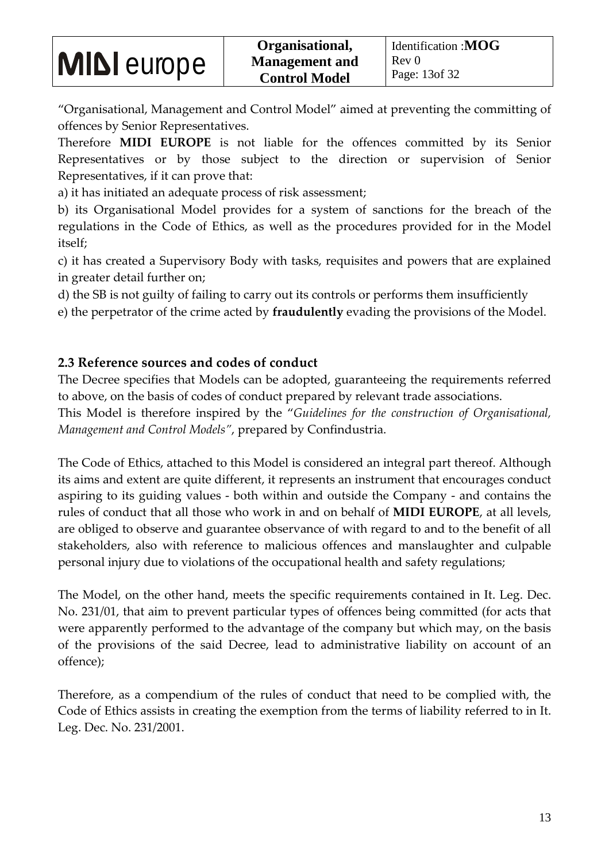"Organisational, Management and Control Model" aimed at preventing the committing of offences by Senior Representatives.

Therefore **MIDI EUROPE** is not liable for the offences committed by its Senior Representatives or by those subject to the direction or supervision of Senior Representatives, if it can prove that:

a) it has initiated an adequate process of risk assessment;

b) its Organisational Model provides for a system of sanctions for the breach of the regulations in the Code of Ethics, as well as the procedures provided for in the Model itself;

c) it has created a Supervisory Body with tasks, requisites and powers that are explained in greater detail further on;

d) the SB is not guilty of failing to carry out its controls or performs them insufficiently

e) the perpetrator of the crime acted by **fraudulently** evading the provisions of the Model.

### **2.3 Reference sources and codes of conduct**

The Decree specifies that Models can be adopted, guaranteeing the requirements referred to above, on the basis of codes of conduct prepared by relevant trade associations.

This Model is therefore inspired by the "*Guidelines for the construction of Organisational, Management and Control Models"*, prepared by Confindustria.

The Code of Ethics, attached to this Model is considered an integral part thereof. Although its aims and extent are quite different, it represents an instrument that encourages conduct aspiring to its guiding values - both within and outside the Company - and contains the rules of conduct that all those who work in and on behalf of **MIDI EUROPE**, at all levels, are obliged to observe and guarantee observance of with regard to and to the benefit of all stakeholders, also with reference to malicious offences and manslaughter and culpable personal injury due to violations of the occupational health and safety regulations;

The Model, on the other hand, meets the specific requirements contained in It. Leg. Dec. No. 231/01, that aim to prevent particular types of offences being committed (for acts that were apparently performed to the advantage of the company but which may, on the basis of the provisions of the said Decree, lead to administrative liability on account of an offence);

Therefore, as a compendium of the rules of conduct that need to be complied with, the Code of Ethics assists in creating the exemption from the terms of liability referred to in It. Leg. Dec. No. 231/2001.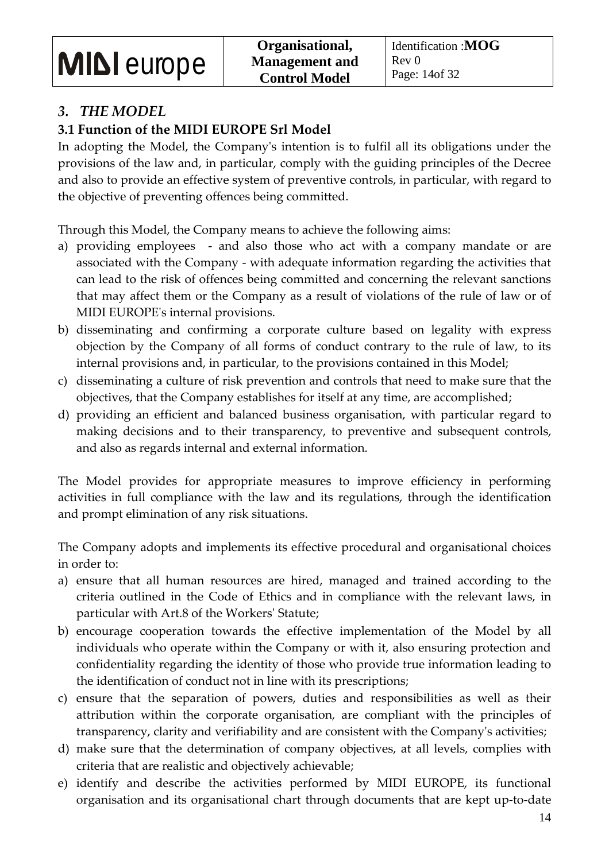### *3. THE MODEL*

### **3.1 Function of the MIDI EUROPE Srl Model**

In adopting the Model, the Company's intention is to fulfil all its obligations under the provisions of the law and, in particular, comply with the guiding principles of the Decree and also to provide an effective system of preventive controls, in particular, with regard to the objective of preventing offences being committed.

Through this Model, the Company means to achieve the following aims:

- a) providing employees and also those who act with a company mandate or are associated with the Company - with adequate information regarding the activities that can lead to the risk of offences being committed and concerning the relevant sanctions that may affect them or the Company as a result of violations of the rule of law or of MIDI EUROPE's internal provisions.
- b) disseminating and confirming a corporate culture based on legality with express objection by the Company of all forms of conduct contrary to the rule of law, to its internal provisions and, in particular, to the provisions contained in this Model;
- c) disseminating a culture of risk prevention and controls that need to make sure that the objectives, that the Company establishes for itself at any time, are accomplished;
- d) providing an efficient and balanced business organisation, with particular regard to making decisions and to their transparency, to preventive and subsequent controls, and also as regards internal and external information.

The Model provides for appropriate measures to improve efficiency in performing activities in full compliance with the law and its regulations, through the identification and prompt elimination of any risk situations.

The Company adopts and implements its effective procedural and organisational choices in order to:

- a) ensure that all human resources are hired, managed and trained according to the criteria outlined in the Code of Ethics and in compliance with the relevant laws, in particular with Art.8 of the Workers' Statute;
- b) encourage cooperation towards the effective implementation of the Model by all individuals who operate within the Company or with it, also ensuring protection and confidentiality regarding the identity of those who provide true information leading to the identification of conduct not in line with its prescriptions;
- c) ensure that the separation of powers, duties and responsibilities as well as their attribution within the corporate organisation, are compliant with the principles of transparency, clarity and verifiability and are consistent with the Company's activities;
- d) make sure that the determination of company objectives, at all levels, complies with criteria that are realistic and objectively achievable;
- e) identify and describe the activities performed by MIDI EUROPE, its functional organisation and its organisational chart through documents that are kept up-to-date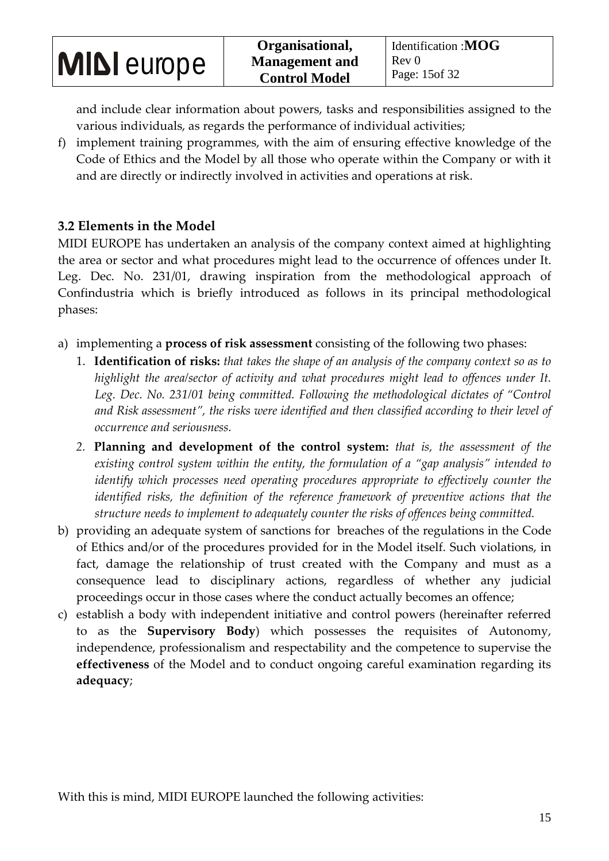and include clear information about powers, tasks and responsibilities assigned to the various individuals, as regards the performance of individual activities;

f) implement training programmes, with the aim of ensuring effective knowledge of the Code of Ethics and the Model by all those who operate within the Company or with it and are directly or indirectly involved in activities and operations at risk.

### **3.2 Elements in the Model**

MIDI EUROPE has undertaken an analysis of the company context aimed at highlighting the area or sector and what procedures might lead to the occurrence of offences under It. Leg. Dec. No. 231/01, drawing inspiration from the methodological approach of Confindustria which is briefly introduced as follows in its principal methodological phases:

- a) implementing a **process of risk assessment** consisting of the following two phases:
	- 1. **Identification of risks:** *that takes the shape of an analysis of the company context so as to*  highlight the area/sector of activity and what procedures might lead to offences under It. *Leg. Dec. No. 231/01 being committed. Following the methodological dictates of "Control and Risk assessment", the risks were identified and then classified according to their level of occurrence and seriousness.*
	- *2.* **Planning and development of the control system:** *that is, the assessment of the existing control system within the entity, the formulation of a "gap analysis" intended to identify which processes need operating procedures appropriate to effectively counter the* identified risks, the definition of the reference framework of preventive actions that the *structure needs to implement to adequately counter the risks of offences being committed.*
- b) providing an adequate system of sanctions for breaches of the regulations in the Code of Ethics and/or of the procedures provided for in the Model itself. Such violations, in fact, damage the relationship of trust created with the Company and must as a consequence lead to disciplinary actions, regardless of whether any judicial proceedings occur in those cases where the conduct actually becomes an offence;
- c) establish a body with independent initiative and control powers (hereinafter referred to as the **Supervisory Body**) which possesses the requisites of Autonomy, independence, professionalism and respectability and the competence to supervise the **effectiveness** of the Model and to conduct ongoing careful examination regarding its **adequacy**;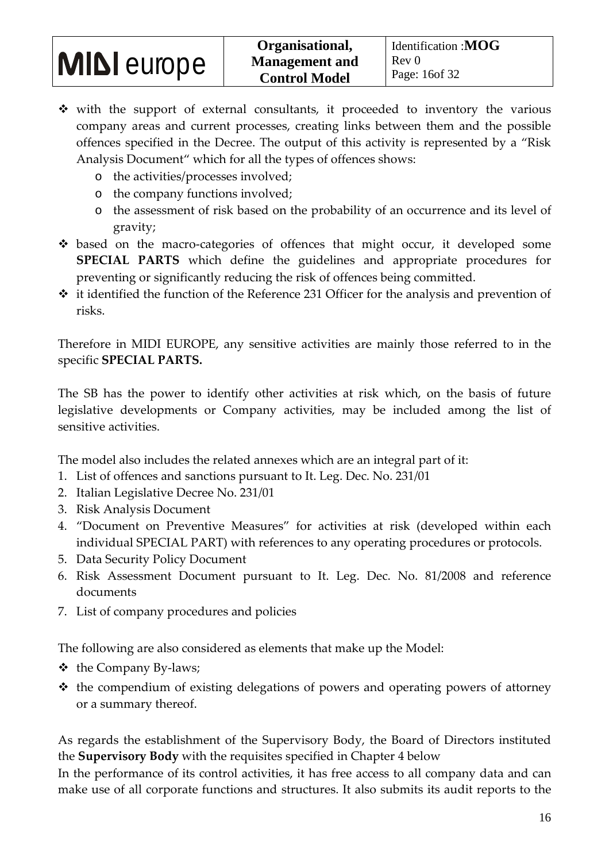- \* with the support of external consultants, it proceeded to inventory the various company areas and current processes, creating links between them and the possible offences specified in the Decree. The output of this activity is represented by a "Risk Analysis Document" which for all the types of offences shows:
	- o the activities/processes involved;
	- o the company functions involved;
	- o the assessment of risk based on the probability of an occurrence and its level of gravity;
- based on the macro-categories of offences that might occur, it developed some **SPECIAL PARTS** which define the guidelines and appropriate procedures for preventing or significantly reducing the risk of offences being committed.
- $\cdot$  it identified the function of the Reference 231 Officer for the analysis and prevention of risks.

Therefore in MIDI EUROPE, any sensitive activities are mainly those referred to in the specific **SPECIAL PARTS.** 

The SB has the power to identify other activities at risk which, on the basis of future legislative developments or Company activities, may be included among the list of sensitive activities.

The model also includes the related annexes which are an integral part of it:

- 1. List of offences and sanctions pursuant to It. Leg. Dec. No. 231/01
- 2. Italian Legislative Decree No. 231/01
- 3. Risk Analysis Document
- 4. "Document on Preventive Measures" for activities at risk (developed within each individual SPECIAL PART) with references to any operating procedures or protocols.
- 5. Data Security Policy Document
- 6. Risk Assessment Document pursuant to It. Leg. Dec. No. 81/2008 and reference documents
- 7. List of company procedures and policies

The following are also considered as elements that make up the Model:

- $\triangleleft$  the Company By-laws;
- $\triangleleft$  the compendium of existing delegations of powers and operating powers of attorney or a summary thereof.

As regards the establishment of the Supervisory Body, the Board of Directors instituted the **Supervisory Body** with the requisites specified in Chapter 4 below

In the performance of its control activities, it has free access to all company data and can make use of all corporate functions and structures. It also submits its audit reports to the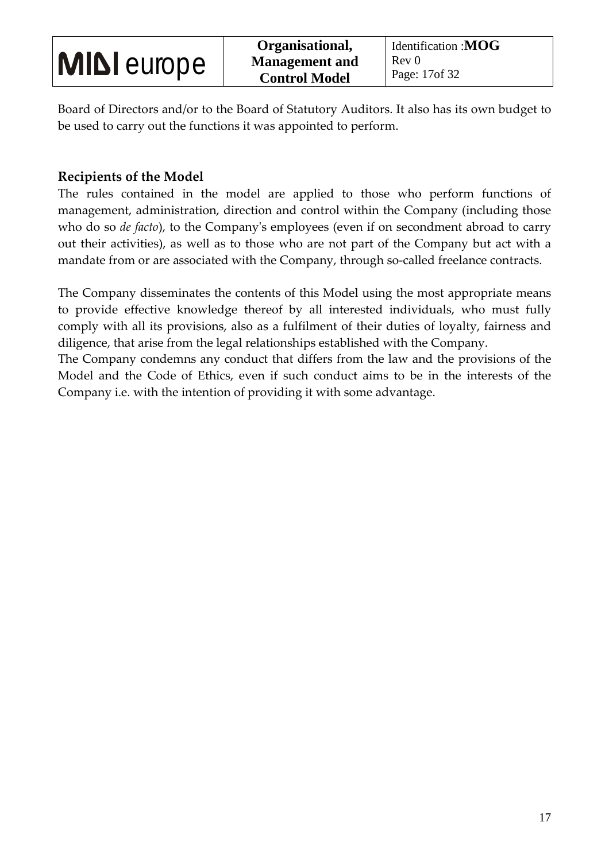Board of Directors and/or to the Board of Statutory Auditors. It also has its own budget to be used to carry out the functions it was appointed to perform.

### **Recipients of the Model**

The rules contained in the model are applied to those who perform functions of management, administration, direction and control within the Company (including those who do so *de facto*), to the Company's employees (even if on secondment abroad to carry out their activities), as well as to those who are not part of the Company but act with a mandate from or are associated with the Company, through so-called freelance contracts.

The Company disseminates the contents of this Model using the most appropriate means to provide effective knowledge thereof by all interested individuals, who must fully comply with all its provisions, also as a fulfilment of their duties of loyalty, fairness and diligence, that arise from the legal relationships established with the Company.

The Company condemns any conduct that differs from the law and the provisions of the Model and the Code of Ethics, even if such conduct aims to be in the interests of the Company i.e. with the intention of providing it with some advantage.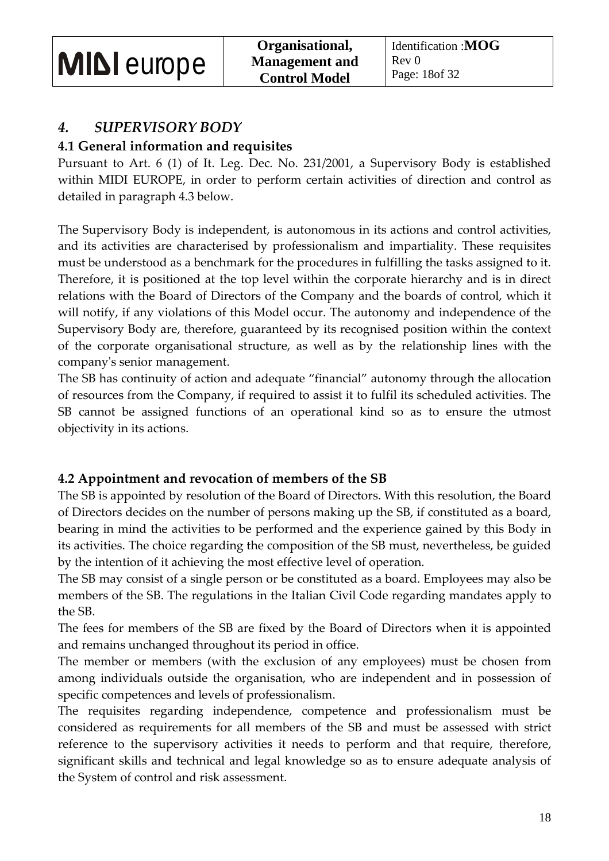### *4. SUPERVISORY BODY*

### **4.1 General information and requisites**

Pursuant to Art. 6 (1) of It. Leg. Dec. No. 231/2001, a Supervisory Body is established within MIDI EUROPE, in order to perform certain activities of direction and control as detailed in paragraph 4.3 below.

The Supervisory Body is independent, is autonomous in its actions and control activities, and its activities are characterised by professionalism and impartiality. These requisites must be understood as a benchmark for the procedures in fulfilling the tasks assigned to it. Therefore, it is positioned at the top level within the corporate hierarchy and is in direct relations with the Board of Directors of the Company and the boards of control, which it will notify, if any violations of this Model occur. The autonomy and independence of the Supervisory Body are, therefore, guaranteed by its recognised position within the context of the corporate organisational structure, as well as by the relationship lines with the company's senior management.

The SB has continuity of action and adequate "financial" autonomy through the allocation of resources from the Company, if required to assist it to fulfil its scheduled activities. The SB cannot be assigned functions of an operational kind so as to ensure the utmost objectivity in its actions.

### **4.2 Appointment and revocation of members of the SB**

The SB is appointed by resolution of the Board of Directors. With this resolution, the Board of Directors decides on the number of persons making up the SB, if constituted as a board, bearing in mind the activities to be performed and the experience gained by this Body in its activities. The choice regarding the composition of the SB must, nevertheless, be guided by the intention of it achieving the most effective level of operation.

The SB may consist of a single person or be constituted as a board. Employees may also be members of the SB. The regulations in the Italian Civil Code regarding mandates apply to the SB.

The fees for members of the SB are fixed by the Board of Directors when it is appointed and remains unchanged throughout its period in office.

The member or members (with the exclusion of any employees) must be chosen from among individuals outside the organisation, who are independent and in possession of specific competences and levels of professionalism.

The requisites regarding independence, competence and professionalism must be considered as requirements for all members of the SB and must be assessed with strict reference to the supervisory activities it needs to perform and that require, therefore, significant skills and technical and legal knowledge so as to ensure adequate analysis of the System of control and risk assessment.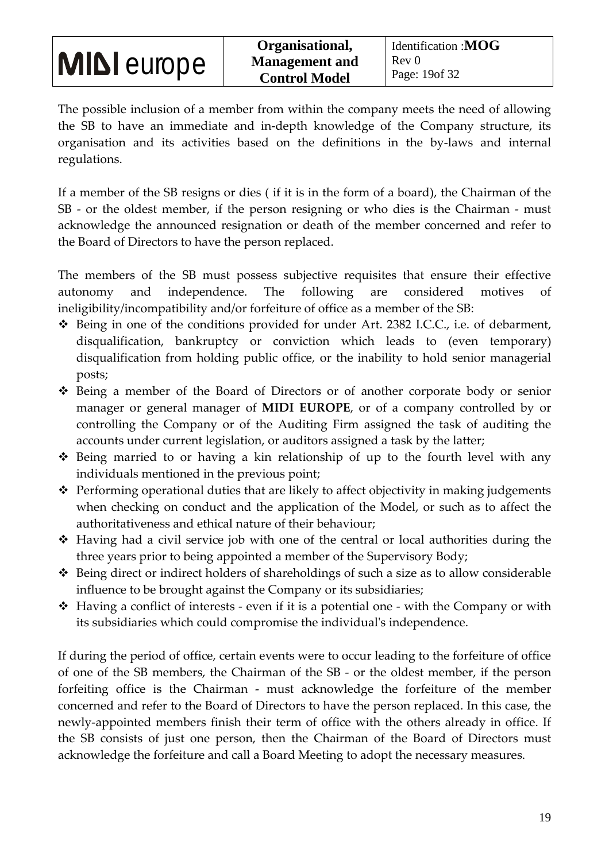The possible inclusion of a member from within the company meets the need of allowing the SB to have an immediate and in-depth knowledge of the Company structure, its organisation and its activities based on the definitions in the by-laws and internal regulations.

If a member of the SB resigns or dies ( if it is in the form of a board), the Chairman of the SB - or the oldest member, if the person resigning or who dies is the Chairman - must acknowledge the announced resignation or death of the member concerned and refer to the Board of Directors to have the person replaced.

The members of the SB must possess subjective requisites that ensure their effective autonomy and independence. The following are considered motives of ineligibility/incompatibility and/or forfeiture of office as a member of the SB:

- Being in one of the conditions provided for under Art. 2382 I.C.C., i.e. of debarment, disqualification, bankruptcy or conviction which leads to (even temporary) disqualification from holding public office, or the inability to hold senior managerial posts;
- Being a member of the Board of Directors or of another corporate body or senior manager or general manager of **MIDI EUROPE**, or of a company controlled by or controlling the Company or of the Auditing Firm assigned the task of auditing the accounts under current legislation, or auditors assigned a task by the latter;
- Being married to or having a kin relationship of up to the fourth level with any individuals mentioned in the previous point;
- \* Performing operational duties that are likely to affect objectivity in making judgements when checking on conduct and the application of the Model, or such as to affect the authoritativeness and ethical nature of their behaviour;
- ◆ Having had a civil service job with one of the central or local authorities during the three years prior to being appointed a member of the Supervisory Body;
- Being direct or indirect holders of shareholdings of such a size as to allow considerable influence to be brought against the Company or its subsidiaries;
- ◆ Having a conflict of interests even if it is a potential one with the Company or with its subsidiaries which could compromise the individual's independence.

If during the period of office, certain events were to occur leading to the forfeiture of office of one of the SB members, the Chairman of the SB - or the oldest member, if the person forfeiting office is the Chairman - must acknowledge the forfeiture of the member concerned and refer to the Board of Directors to have the person replaced. In this case, the newly-appointed members finish their term of office with the others already in office. If the SB consists of just one person, then the Chairman of the Board of Directors must acknowledge the forfeiture and call a Board Meeting to adopt the necessary measures.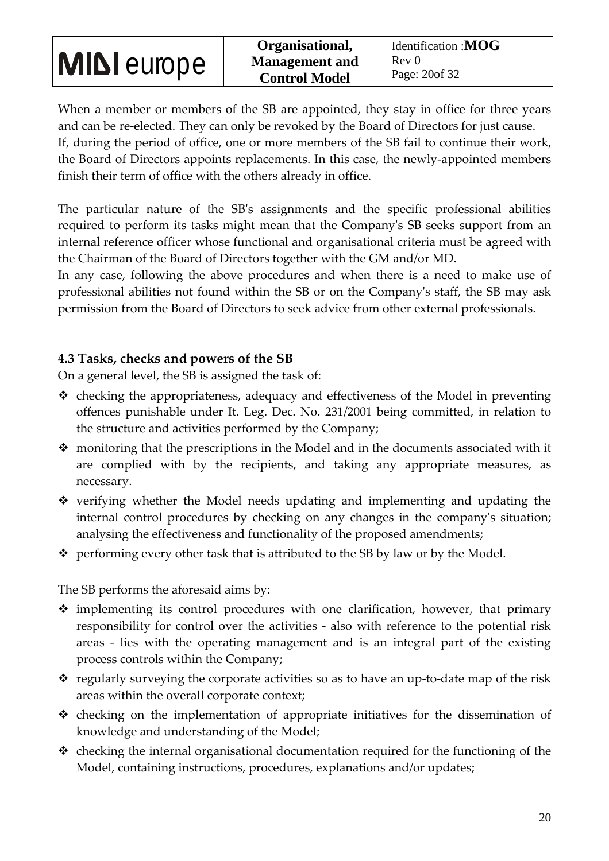When a member or members of the SB are appointed, they stay in office for three years and can be re-elected. They can only be revoked by the Board of Directors for just cause. If, during the period of office, one or more members of the SB fail to continue their work, the Board of Directors appoints replacements. In this case, the newly-appointed members finish their term of office with the others already in office.

The particular nature of the SB's assignments and the specific professional abilities required to perform its tasks might mean that the Company's SB seeks support from an internal reference officer whose functional and organisational criteria must be agreed with the Chairman of the Board of Directors together with the GM and/or MD.

In any case, following the above procedures and when there is a need to make use of professional abilities not found within the SB or on the Company's staff, the SB may ask permission from the Board of Directors to seek advice from other external professionals.

### **4.3 Tasks, checks and powers of the SB**

On a general level, the SB is assigned the task of:

- \* checking the appropriateness, adequacy and effectiveness of the Model in preventing offences punishable under It. Leg. Dec. No. 231/2001 being committed, in relation to the structure and activities performed by the Company;
- monitoring that the prescriptions in the Model and in the documents associated with it are complied with by the recipients, and taking any appropriate measures, as necessary.
- $\hat{\mathbf{v}}$  verifying whether the Model needs updating and implementing and updating the internal control procedures by checking on any changes in the company's situation; analysing the effectiveness and functionality of the proposed amendments;
- $\div$  performing every other task that is attributed to the SB by law or by the Model.

The SB performs the aforesaid aims by:

- $\hat{\mathbf{v}}$  implementing its control procedures with one clarification, however, that primary responsibility for control over the activities - also with reference to the potential risk areas - lies with the operating management and is an integral part of the existing process controls within the Company;
- $\hat{\mathbf{v}}$  regularly surveying the corporate activities so as to have an up-to-date map of the risk areas within the overall corporate context;
- $\triangleleft$  checking on the implementation of appropriate initiatives for the dissemination of knowledge and understanding of the Model;
- $\cdot$  checking the internal organisational documentation required for the functioning of the Model, containing instructions, procedures, explanations and/or updates;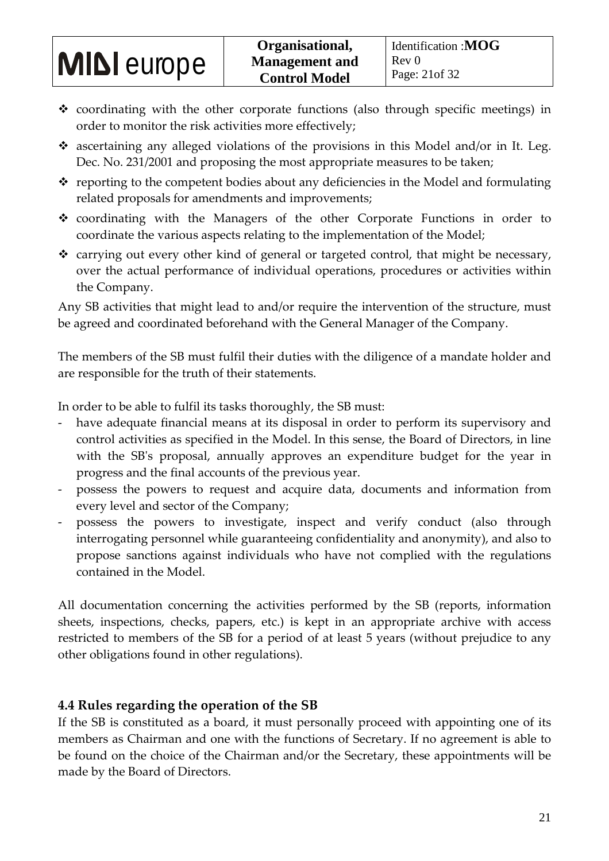- $\hat{\mathbf{v}}$  coordinating with the other corporate functions (also through specific meetings) in order to monitor the risk activities more effectively;
- $\hat{\mathbf{v}}$  ascertaining any alleged violations of the provisions in this Model and/or in It. Leg. Dec. No. 231/2001 and proposing the most appropriate measures to be taken;
- $\cdot$  reporting to the competent bodies about any deficiencies in the Model and formulating related proposals for amendments and improvements;
- coordinating with the Managers of the other Corporate Functions in order to coordinate the various aspects relating to the implementation of the Model;
- $\cdot$  carrying out every other kind of general or targeted control, that might be necessary, over the actual performance of individual operations, procedures or activities within the Company.

Any SB activities that might lead to and/or require the intervention of the structure, must be agreed and coordinated beforehand with the General Manager of the Company.

The members of the SB must fulfil their duties with the diligence of a mandate holder and are responsible for the truth of their statements.

In order to be able to fulfil its tasks thoroughly, the SB must:

- have adequate financial means at its disposal in order to perform its supervisory and control activities as specified in the Model. In this sense, the Board of Directors, in line with the SB's proposal, annually approves an expenditure budget for the year in progress and the final accounts of the previous year.
- possess the powers to request and acquire data, documents and information from every level and sector of the Company;
- possess the powers to investigate, inspect and verify conduct (also through interrogating personnel while guaranteeing confidentiality and anonymity), and also to propose sanctions against individuals who have not complied with the regulations contained in the Model.

All documentation concerning the activities performed by the SB (reports, information sheets, inspections, checks, papers, etc.) is kept in an appropriate archive with access restricted to members of the SB for a period of at least 5 years (without prejudice to any other obligations found in other regulations).

### **4.4 Rules regarding the operation of the SB**

If the SB is constituted as a board, it must personally proceed with appointing one of its members as Chairman and one with the functions of Secretary. If no agreement is able to be found on the choice of the Chairman and/or the Secretary, these appointments will be made by the Board of Directors.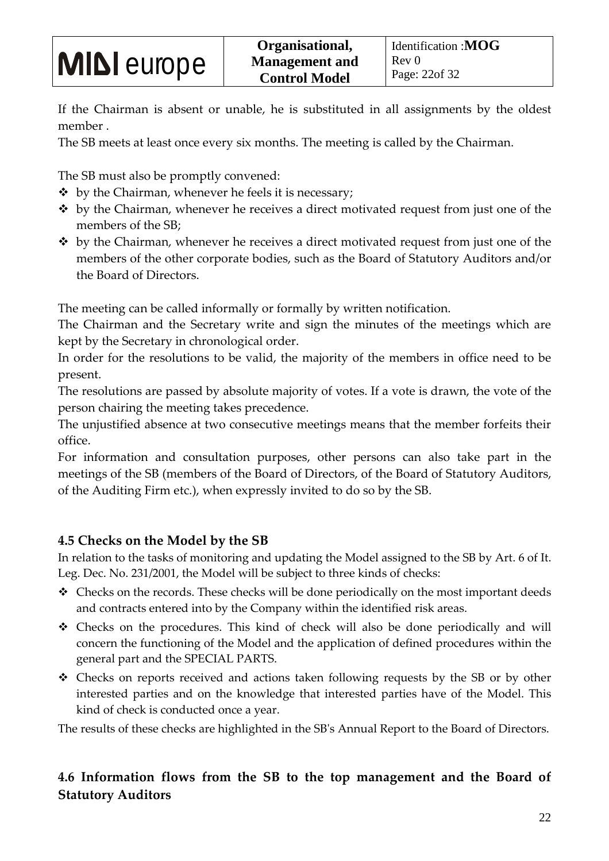If the Chairman is absent or unable, he is substituted in all assignments by the oldest member .

The SB meets at least once every six months. The meeting is called by the Chairman.

The SB must also be promptly convened:

- $\cdot \cdot$  by the Chairman, whenever he feels it is necessary;
- $\cdot$  by the Chairman, whenever he receives a direct motivated request from just one of the members of the SB;
- $\cdot$  by the Chairman, whenever he receives a direct motivated request from just one of the members of the other corporate bodies, such as the Board of Statutory Auditors and/or the Board of Directors.

The meeting can be called informally or formally by written notification.

The Chairman and the Secretary write and sign the minutes of the meetings which are kept by the Secretary in chronological order.

In order for the resolutions to be valid, the majority of the members in office need to be present.

The resolutions are passed by absolute majority of votes. If a vote is drawn, the vote of the person chairing the meeting takes precedence.

The unjustified absence at two consecutive meetings means that the member forfeits their office.

For information and consultation purposes, other persons can also take part in the meetings of the SB (members of the Board of Directors, of the Board of Statutory Auditors, of the Auditing Firm etc.), when expressly invited to do so by the SB.

### **4.5 Checks on the Model by the SB**

In relation to the tasks of monitoring and updating the Model assigned to the SB by Art. 6 of It. Leg. Dec. No. 231/2001, the Model will be subject to three kinds of checks:

- $\triangleleft$  Checks on the records. These checks will be done periodically on the most important deeds and contracts entered into by the Company within the identified risk areas.
- Checks on the procedures. This kind of check will also be done periodically and will concern the functioning of the Model and the application of defined procedures within the general part and the SPECIAL PARTS.
- Checks on reports received and actions taken following requests by the SB or by other interested parties and on the knowledge that interested parties have of the Model. This kind of check is conducted once a year.

The results of these checks are highlighted in the SB's Annual Report to the Board of Directors.

### **4.6 Information flows from the SB to the top management and the Board of Statutory Auditors**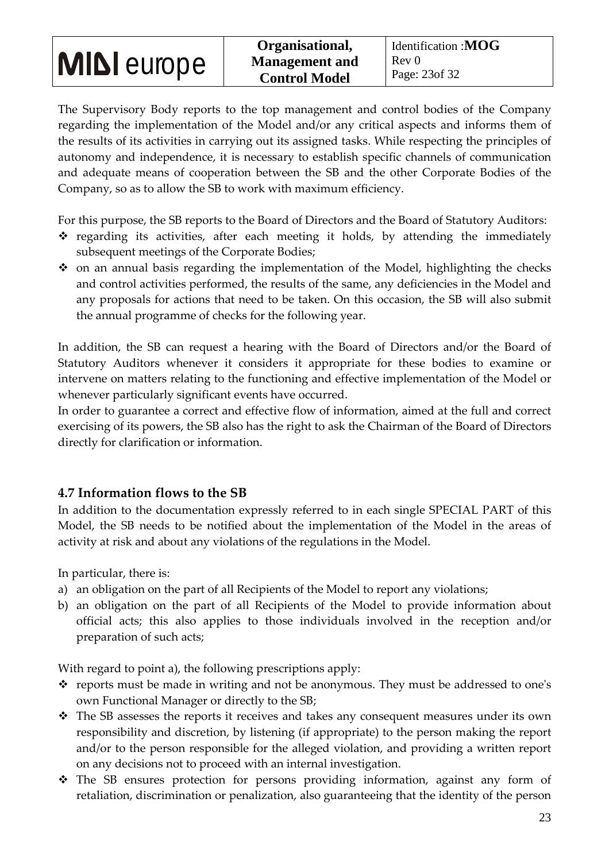The Supervisory Body reports to the top management and control bodies of the Company regarding the implementation of the Model and/or any critical aspects and informs them of the results of its activities in carrying out its assigned tasks. While respecting the principles of autonomy and independence, it is necessary to establish specific channels of communication and adequate means of cooperation between the SB and the other Corporate Bodies of the Company, so as to allow the SB to work with maximum efficiency.

For this purpose, the SB reports to the Board of Directors and the Board of Statutory Auditors:

- $\hat{P}$  regarding its activities, after each meeting it holds, by attending the immediately subsequent meetings of the Corporate Bodies;
- $\div$  on an annual basis regarding the implementation of the Model, highlighting the checks and control activities performed, the results of the same, any deficiencies in the Model and any proposals for actions that need to be taken. On this occasion, the SB will also submit the annual programme of checks for the following year.

In addition, the SB can request a hearing with the Board of Directors and/or the Board of Statutory Auditors whenever it considers it appropriate for these bodies to examine or intervene on matters relating to the functioning and effective implementation of the Model or whenever particularly significant events have occurred.

In order to guarantee a correct and effective flow of information, aimed at the full and correct exercising of its powers, the SB also has the right to ask the Chairman of the Board of Directors directly for clarification or information.

### **4.7 Information flows to the SB**

In addition to the documentation expressly referred to in each single SPECIAL PART of this Model, the SB needs to be notified about the implementation of the Model in the areas of activity at risk and about any violations of the regulations in the Model.

In particular, there is:

- a) an obligation on the part of all Recipients of the Model to report any violations;
- b) an obligation on the part of all Recipients of the Model to provide information about official acts; this also applies to those individuals involved in the reception and/or preparation of such acts;

With regard to point a), the following prescriptions apply:

- $\hat{\mathbf{v}}$  reports must be made in writing and not be anonymous. They must be addressed to one's own Functional Manager or directly to the SB;
- $\hat{P}$  The SB assesses the reports it receives and takes any consequent measures under its own responsibility and discretion, by listening (if appropriate) to the person making the report and/or to the person responsible for the alleged violation, and providing a written report on any decisions not to proceed with an internal investigation.
- The SB ensures protection for persons providing information, against any form of retaliation, discrimination or penalization, also guaranteeing that the identity of the person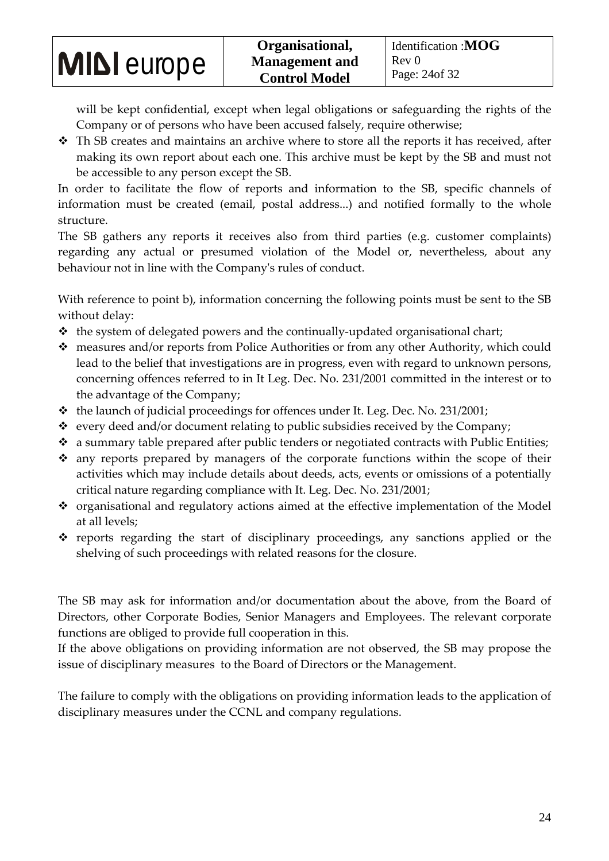will be kept confidential, except when legal obligations or safeguarding the rights of the Company or of persons who have been accused falsely, require otherwise;

 $\hat{\cdot}$  Th SB creates and maintains an archive where to store all the reports it has received, after making its own report about each one. This archive must be kept by the SB and must not be accessible to any person except the SB.

In order to facilitate the flow of reports and information to the SB, specific channels of information must be created (email, postal address...) and notified formally to the whole structure.

The SB gathers any reports it receives also from third parties (e.g. customer complaints) regarding any actual or presumed violation of the Model or, nevertheless, about any behaviour not in line with the Company's rules of conduct.

With reference to point b), information concerning the following points must be sent to the SB without delay:

- $\triangleleft$  the system of delegated powers and the continually-updated organisational chart;
- measures and/or reports from Police Authorities or from any other Authority, which could lead to the belief that investigations are in progress, even with regard to unknown persons, concerning offences referred to in It Leg. Dec. No. 231/2001 committed in the interest or to the advantage of the Company;
- $\cdot$  the launch of judicial proceedings for offences under It. Leg. Dec. No. 231/2001;
- $\cdot$  every deed and/or document relating to public subsidies received by the Company;
- \* a summary table prepared after public tenders or negotiated contracts with Public Entities;
- any reports prepared by managers of the corporate functions within the scope of their activities which may include details about deeds, acts, events or omissions of a potentially critical nature regarding compliance with It. Leg. Dec. No. 231/2001;
- organisational and regulatory actions aimed at the effective implementation of the Model at all levels;
- $\hat{P}$  reports regarding the start of disciplinary proceedings, any sanctions applied or the shelving of such proceedings with related reasons for the closure.

The SB may ask for information and/or documentation about the above, from the Board of Directors, other Corporate Bodies, Senior Managers and Employees. The relevant corporate functions are obliged to provide full cooperation in this.

If the above obligations on providing information are not observed, the SB may propose the issue of disciplinary measures to the Board of Directors or the Management.

The failure to comply with the obligations on providing information leads to the application of disciplinary measures under the CCNL and company regulations.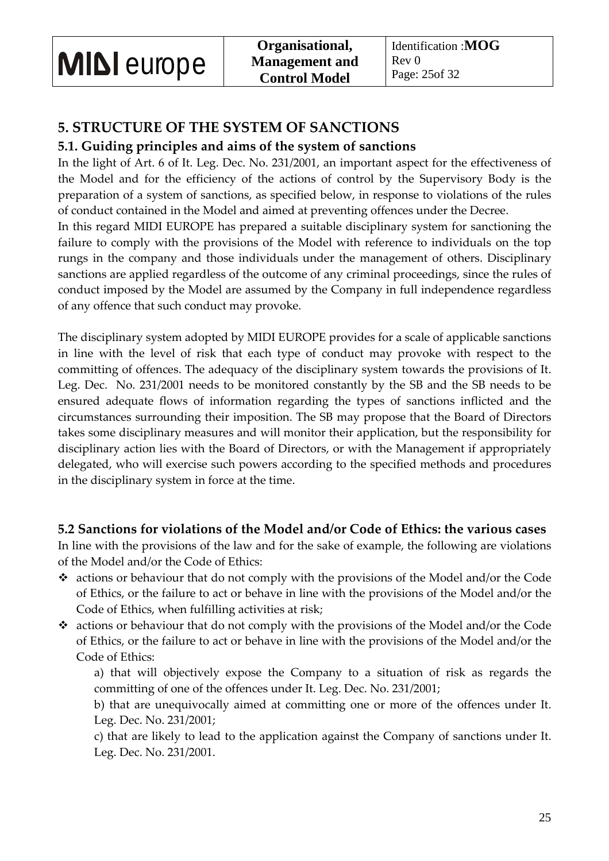### **5. STRUCTURE OF THE SYSTEM OF SANCTIONS**

### **5.1. Guiding principles and aims of the system of sanctions**

In the light of Art. 6 of It. Leg. Dec. No. 231/2001, an important aspect for the effectiveness of the Model and for the efficiency of the actions of control by the Supervisory Body is the preparation of a system of sanctions, as specified below, in response to violations of the rules of conduct contained in the Model and aimed at preventing offences under the Decree.

In this regard MIDI EUROPE has prepared a suitable disciplinary system for sanctioning the failure to comply with the provisions of the Model with reference to individuals on the top rungs in the company and those individuals under the management of others. Disciplinary sanctions are applied regardless of the outcome of any criminal proceedings, since the rules of conduct imposed by the Model are assumed by the Company in full independence regardless of any offence that such conduct may provoke.

The disciplinary system adopted by MIDI EUROPE provides for a scale of applicable sanctions in line with the level of risk that each type of conduct may provoke with respect to the committing of offences. The adequacy of the disciplinary system towards the provisions of It. Leg. Dec. No. 231/2001 needs to be monitored constantly by the SB and the SB needs to be ensured adequate flows of information regarding the types of sanctions inflicted and the circumstances surrounding their imposition. The SB may propose that the Board of Directors takes some disciplinary measures and will monitor their application, but the responsibility for disciplinary action lies with the Board of Directors, or with the Management if appropriately delegated, who will exercise such powers according to the specified methods and procedures in the disciplinary system in force at the time.

### **5.2 Sanctions for violations of the Model and/or Code of Ethics: the various cases**

In line with the provisions of the law and for the sake of example, the following are violations of the Model and/or the Code of Ethics:

- \* actions or behaviour that do not comply with the provisions of the Model and/or the Code of Ethics, or the failure to act or behave in line with the provisions of the Model and/or the Code of Ethics, when fulfilling activities at risk;
- $\cdot$  actions or behaviour that do not comply with the provisions of the Model and/or the Code of Ethics, or the failure to act or behave in line with the provisions of the Model and/or the Code of Ethics:
	- a) that will objectively expose the Company to a situation of risk as regards the committing of one of the offences under It. Leg. Dec. No. 231/2001;

b) that are unequivocally aimed at committing one or more of the offences under It. Leg. Dec. No. 231/2001;

c) that are likely to lead to the application against the Company of sanctions under It. Leg. Dec. No. 231/2001.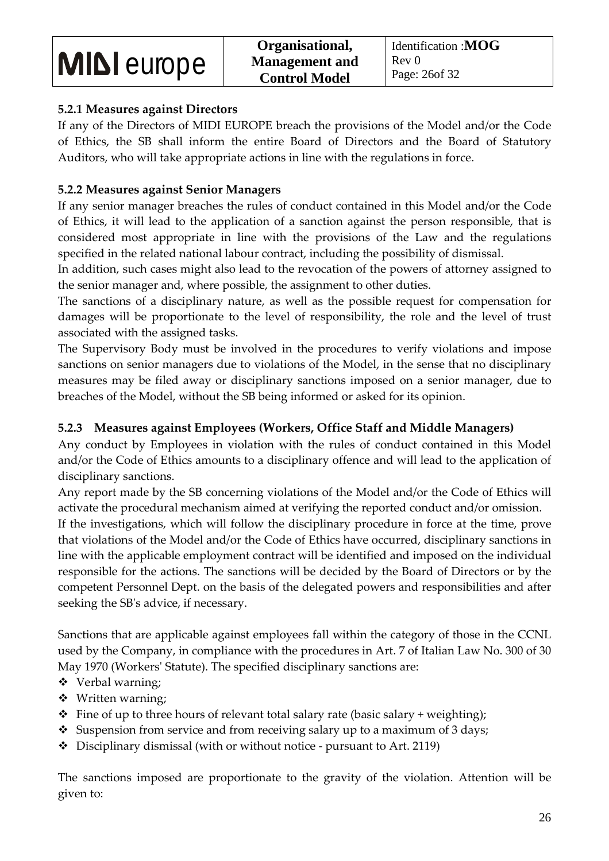### **5.2.1 Measures against Directors**

If any of the Directors of MIDI EUROPE breach the provisions of the Model and/or the Code of Ethics, the SB shall inform the entire Board of Directors and the Board of Statutory Auditors, who will take appropriate actions in line with the regulations in force.

### **5.2.2 Measures against Senior Managers**

If any senior manager breaches the rules of conduct contained in this Model and/or the Code of Ethics, it will lead to the application of a sanction against the person responsible, that is considered most appropriate in line with the provisions of the Law and the regulations specified in the related national labour contract, including the possibility of dismissal.

In addition, such cases might also lead to the revocation of the powers of attorney assigned to the senior manager and, where possible, the assignment to other duties.

The sanctions of a disciplinary nature, as well as the possible request for compensation for damages will be proportionate to the level of responsibility, the role and the level of trust associated with the assigned tasks.

The Supervisory Body must be involved in the procedures to verify violations and impose sanctions on senior managers due to violations of the Model, in the sense that no disciplinary measures may be filed away or disciplinary sanctions imposed on a senior manager, due to breaches of the Model, without the SB being informed or asked for its opinion.

### **5.2.3 Measures against Employees (Workers, Office Staff and Middle Managers)**

Any conduct by Employees in violation with the rules of conduct contained in this Model and/or the Code of Ethics amounts to a disciplinary offence and will lead to the application of disciplinary sanctions.

Any report made by the SB concerning violations of the Model and/or the Code of Ethics will activate the procedural mechanism aimed at verifying the reported conduct and/or omission.

If the investigations, which will follow the disciplinary procedure in force at the time, prove that violations of the Model and/or the Code of Ethics have occurred, disciplinary sanctions in line with the applicable employment contract will be identified and imposed on the individual responsible for the actions. The sanctions will be decided by the Board of Directors or by the competent Personnel Dept. on the basis of the delegated powers and responsibilities and after seeking the SB's advice, if necessary.

Sanctions that are applicable against employees fall within the category of those in the CCNL used by the Company, in compliance with the procedures in Art. 7 of Italian Law No. 300 of 30 May 1970 (Workers' Statute). The specified disciplinary sanctions are:

- Verbal warning;
- Written warning;
- $\cdot \cdot$  Fine of up to three hours of relevant total salary rate (basic salary + weighting);
- $\bullet$  Suspension from service and from receiving salary up to a maximum of 3 days;
- $\bullet$  Disciplinary dismissal (with or without notice pursuant to Art. 2119)

The sanctions imposed are proportionate to the gravity of the violation. Attention will be given to: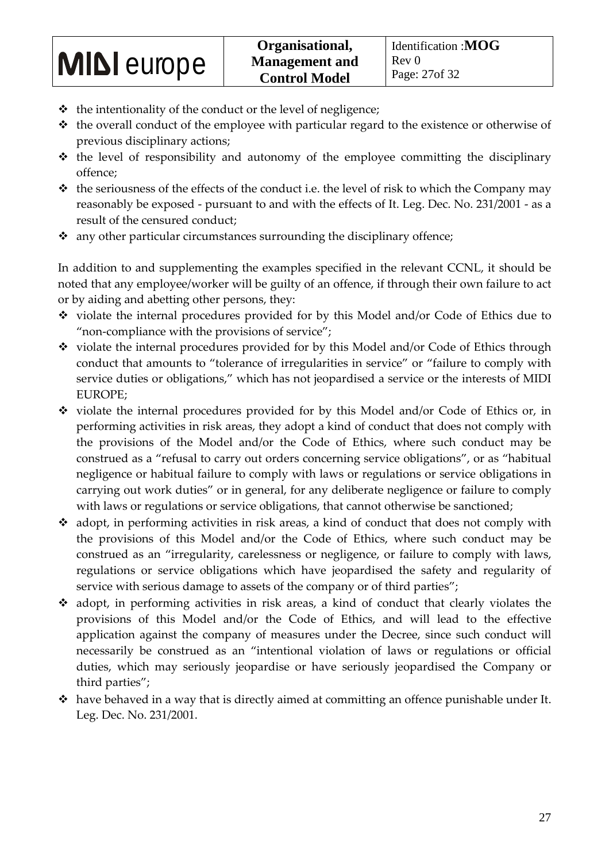- $\triangleleft$  the intentionality of the conduct or the level of negligence;
- $\cdot$  the overall conduct of the employee with particular regard to the existence or otherwise of previous disciplinary actions;
- $\triangleleft$  the level of responsibility and autonomy of the employee committing the disciplinary offence;
- $\triangleleft$  the seriousness of the effects of the conduct i.e. the level of risk to which the Company may reasonably be exposed - pursuant to and with the effects of It. Leg. Dec. No. 231/2001 - as a result of the censured conduct;
- \* any other particular circumstances surrounding the disciplinary offence;

In addition to and supplementing the examples specified in the relevant CCNL, it should be noted that any employee/worker will be guilty of an offence, if through their own failure to act or by aiding and abetting other persons, they:

- $\cdot$  violate the internal procedures provided for by this Model and/or Code of Ethics due to "non-compliance with the provisions of service";
- $\cdot$  violate the internal procedures provided for by this Model and/or Code of Ethics through conduct that amounts to "tolerance of irregularities in service" or "failure to comply with service duties or obligations," which has not jeopardised a service or the interests of MIDI EUROPE;
- $\cdot$  violate the internal procedures provided for by this Model and/or Code of Ethics or, in performing activities in risk areas, they adopt a kind of conduct that does not comply with the provisions of the Model and/or the Code of Ethics, where such conduct may be construed as a "refusal to carry out orders concerning service obligations", or as "habitual negligence or habitual failure to comply with laws or regulations or service obligations in carrying out work duties" or in general, for any deliberate negligence or failure to comply with laws or regulations or service obligations, that cannot otherwise be sanctioned;
- $\triangleleft$  adopt, in performing activities in risk areas, a kind of conduct that does not comply with the provisions of this Model and/or the Code of Ethics, where such conduct may be construed as an "irregularity, carelessness or negligence, or failure to comply with laws, regulations or service obligations which have jeopardised the safety and regularity of service with serious damage to assets of the company or of third parties";
- adopt, in performing activities in risk areas, a kind of conduct that clearly violates the provisions of this Model and/or the Code of Ethics, and will lead to the effective application against the company of measures under the Decree, since such conduct will necessarily be construed as an "intentional violation of laws or regulations or official duties, which may seriously jeopardise or have seriously jeopardised the Company or third parties";
- $\hat{\mathbf{v}}$  have behaved in a way that is directly aimed at committing an offence punishable under It. Leg. Dec. No. 231/2001.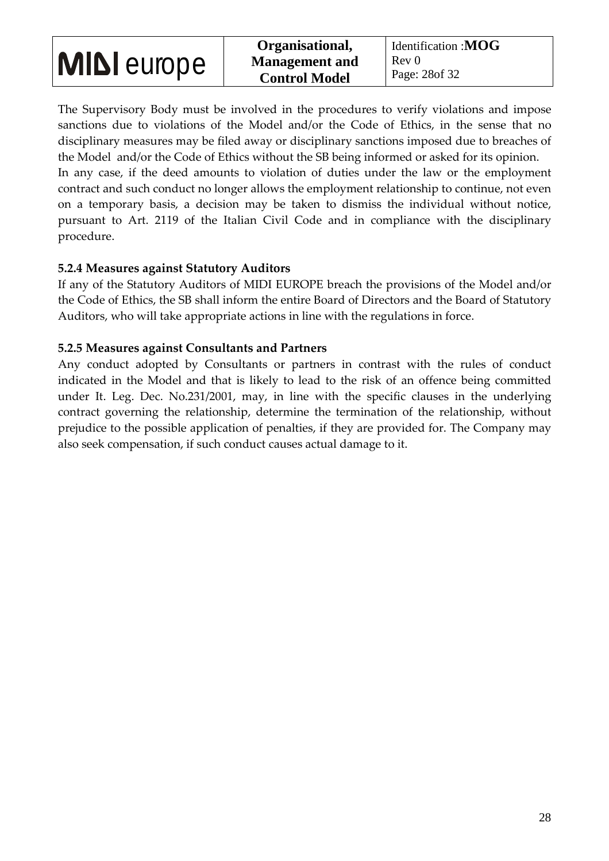The Supervisory Body must be involved in the procedures to verify violations and impose sanctions due to violations of the Model and/or the Code of Ethics, in the sense that no disciplinary measures may be filed away or disciplinary sanctions imposed due to breaches of the Model and/or the Code of Ethics without the SB being informed or asked for its opinion.

In any case, if the deed amounts to violation of duties under the law or the employment contract and such conduct no longer allows the employment relationship to continue, not even on a temporary basis, a decision may be taken to dismiss the individual without notice, pursuant to Art. 2119 of the Italian Civil Code and in compliance with the disciplinary procedure.

### **5.2.4 Measures against Statutory Auditors**

If any of the Statutory Auditors of MIDI EUROPE breach the provisions of the Model and/or the Code of Ethics, the SB shall inform the entire Board of Directors and the Board of Statutory Auditors, who will take appropriate actions in line with the regulations in force.

#### **5.2.5 Measures against Consultants and Partners**

Any conduct adopted by Consultants or partners in contrast with the rules of conduct indicated in the Model and that is likely to lead to the risk of an offence being committed under It. Leg. Dec. No.231/2001, may, in line with the specific clauses in the underlying contract governing the relationship, determine the termination of the relationship, without prejudice to the possible application of penalties, if they are provided for. The Company may also seek compensation, if such conduct causes actual damage to it.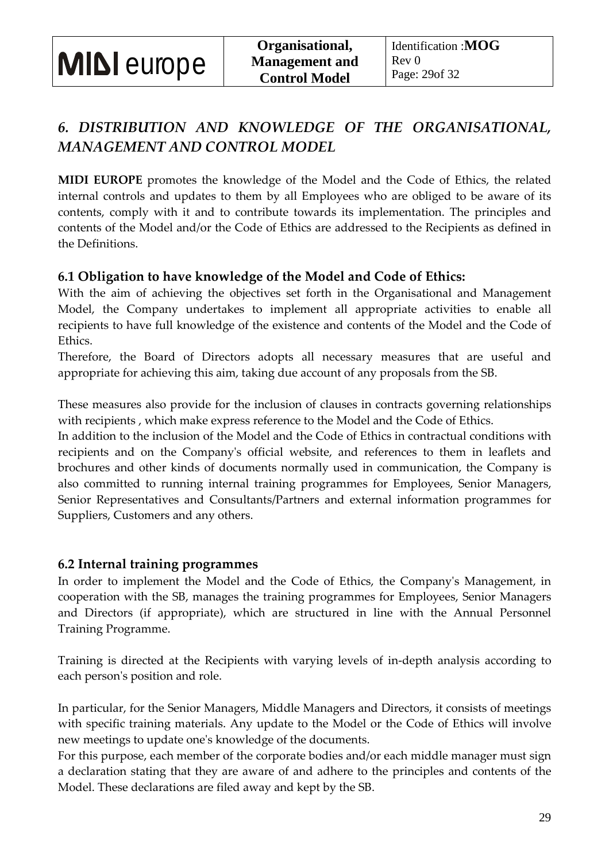### *6. DISTRIBUTION AND KNOWLEDGE OF THE ORGANISATIONAL, MANAGEMENT AND CONTROL MODEL*

**MIDI EUROPE** promotes the knowledge of the Model and the Code of Ethics, the related internal controls and updates to them by all Employees who are obliged to be aware of its contents, comply with it and to contribute towards its implementation. The principles and contents of the Model and/or the Code of Ethics are addressed to the Recipients as defined in the Definitions.

### **6.1 Obligation to have knowledge of the Model and Code of Ethics:**

With the aim of achieving the objectives set forth in the Organisational and Management Model, the Company undertakes to implement all appropriate activities to enable all recipients to have full knowledge of the existence and contents of the Model and the Code of Ethics.

Therefore, the Board of Directors adopts all necessary measures that are useful and appropriate for achieving this aim, taking due account of any proposals from the SB.

These measures also provide for the inclusion of clauses in contracts governing relationships with recipients , which make express reference to the Model and the Code of Ethics.

In addition to the inclusion of the Model and the Code of Ethics in contractual conditions with recipients and on the Company's official website, and references to them in leaflets and brochures and other kinds of documents normally used in communication, the Company is also committed to running internal training programmes for Employees, Senior Managers, Senior Representatives and Consultants/Partners and external information programmes for Suppliers, Customers and any others.

### **6.2 Internal training programmes**

In order to implement the Model and the Code of Ethics, the Company's Management, in cooperation with the SB, manages the training programmes for Employees, Senior Managers and Directors (if appropriate), which are structured in line with the Annual Personnel Training Programme.

Training is directed at the Recipients with varying levels of in-depth analysis according to each person's position and role.

In particular, for the Senior Managers, Middle Managers and Directors, it consists of meetings with specific training materials. Any update to the Model or the Code of Ethics will involve new meetings to update one's knowledge of the documents.

For this purpose, each member of the corporate bodies and/or each middle manager must sign a declaration stating that they are aware of and adhere to the principles and contents of the Model. These declarations are filed away and kept by the SB.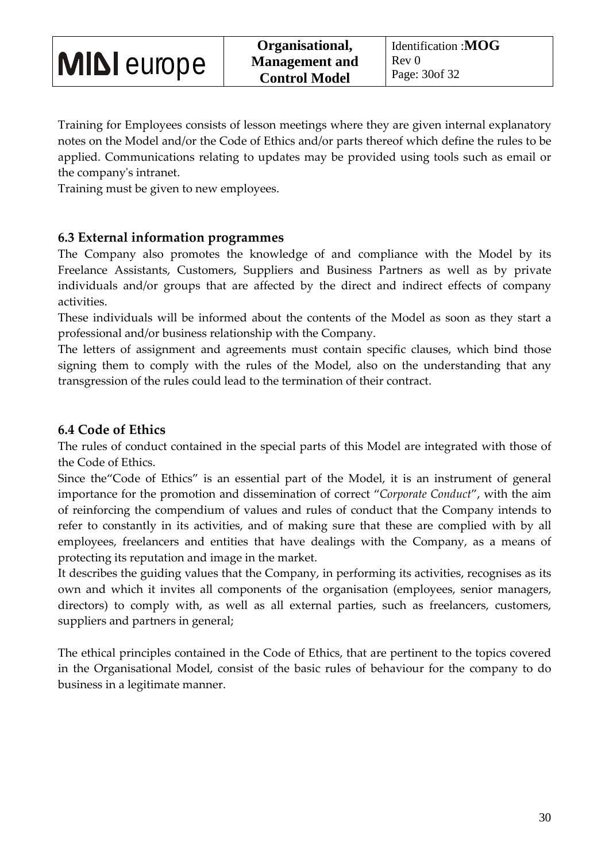Training for Employees consists of lesson meetings where they are given internal explanatory notes on the Model and/or the Code of Ethics and/or parts thereof which define the rules to be applied. Communications relating to updates may be provided using tools such as email or the company's intranet.

Training must be given to new employees.

### **6.3 External information programmes**

The Company also promotes the knowledge of and compliance with the Model by its Freelance Assistants, Customers, Suppliers and Business Partners as well as by private individuals and/or groups that are affected by the direct and indirect effects of company activities.

These individuals will be informed about the contents of the Model as soon as they start a professional and/or business relationship with the Company.

The letters of assignment and agreements must contain specific clauses, which bind those signing them to comply with the rules of the Model, also on the understanding that any transgression of the rules could lead to the termination of their contract.

### **6.4 Code of Ethics**

The rules of conduct contained in the special parts of this Model are integrated with those of the Code of Ethics.

Since the"Code of Ethics" is an essential part of the Model, it is an instrument of general importance for the promotion and dissemination of correct "*Corporate Conduct*", with the aim of reinforcing the compendium of values and rules of conduct that the Company intends to refer to constantly in its activities, and of making sure that these are complied with by all employees, freelancers and entities that have dealings with the Company, as a means of protecting its reputation and image in the market.

It describes the guiding values that the Company, in performing its activities, recognises as its own and which it invites all components of the organisation (employees, senior managers, directors) to comply with, as well as all external parties, such as freelancers, customers, suppliers and partners in general;

The ethical principles contained in the Code of Ethics, that are pertinent to the topics covered in the Organisational Model, consist of the basic rules of behaviour for the company to do business in a legitimate manner.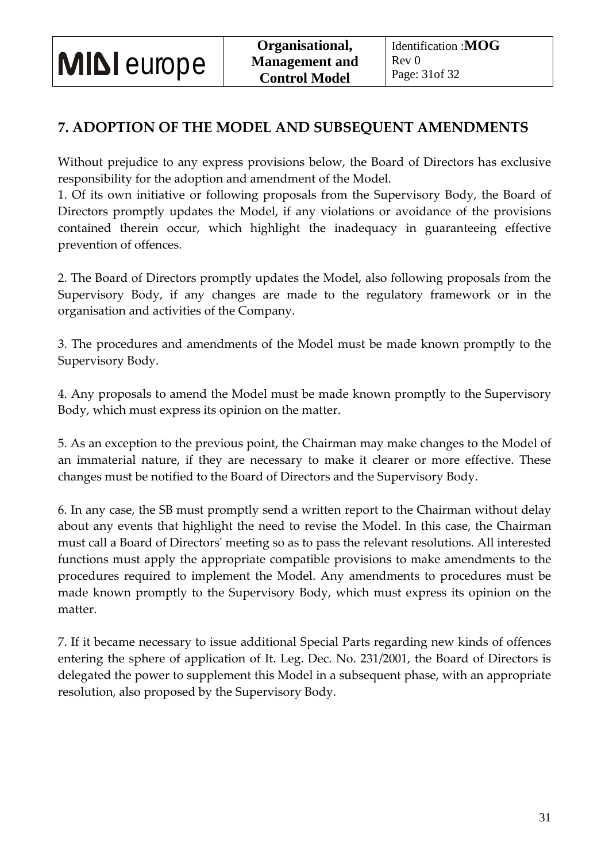### **7. ADOPTION OF THE MODEL AND SUBSEQUENT AMENDMENTS**

Without prejudice to any express provisions below, the Board of Directors has exclusive responsibility for the adoption and amendment of the Model.

1. Of its own initiative or following proposals from the Supervisory Body, the Board of Directors promptly updates the Model, if any violations or avoidance of the provisions contained therein occur, which highlight the inadequacy in guaranteeing effective prevention of offences.

2. The Board of Directors promptly updates the Model, also following proposals from the Supervisory Body, if any changes are made to the regulatory framework or in the organisation and activities of the Company.

3. The procedures and amendments of the Model must be made known promptly to the Supervisory Body.

4. Any proposals to amend the Model must be made known promptly to the Supervisory Body, which must express its opinion on the matter.

5. As an exception to the previous point, the Chairman may make changes to the Model of an immaterial nature, if they are necessary to make it clearer or more effective. These changes must be notified to the Board of Directors and the Supervisory Body.

6. In any case, the SB must promptly send a written report to the Chairman without delay about any events that highlight the need to revise the Model. In this case, the Chairman must call a Board of Directors' meeting so as to pass the relevant resolutions. All interested functions must apply the appropriate compatible provisions to make amendments to the procedures required to implement the Model. Any amendments to procedures must be made known promptly to the Supervisory Body, which must express its opinion on the matter.

7. If it became necessary to issue additional Special Parts regarding new kinds of offences entering the sphere of application of It. Leg. Dec. No. 231/2001, the Board of Directors is delegated the power to supplement this Model in a subsequent phase, with an appropriate resolution, also proposed by the Supervisory Body.